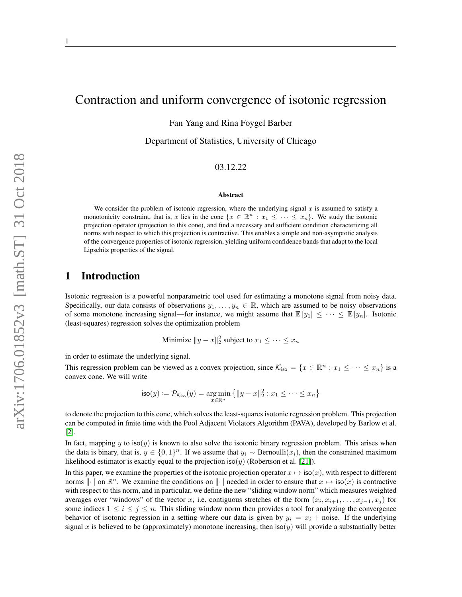# Contraction and uniform convergence of isotonic regression

Fan Yang and Rina Foygel Barber

Department of Statistics, University of Chicago

### 03.12.22

#### Abstract

We consider the problem of isotonic regression, where the underlying signal  $x$  is assumed to satisfy a monotonicity constraint, that is, x lies in the cone  $\{x \in \mathbb{R}^n : x_1 \leq \cdots \leq x_n\}$ . We study the isotonic projection operator (projection to this cone), and find a necessary and sufficient condition characterizing all norms with respect to which this projection is contractive. This enables a simple and non-asymptotic analysis of the convergence properties of isotonic regression, yielding uniform confidence bands that adapt to the local Lipschitz properties of the signal.

## 1 Introduction

Isotonic regression is a powerful nonparametric tool used for estimating a monotone signal from noisy data. Specifically, our data consists of observations  $y_1, \ldots, y_n \in \mathbb{R}$ , which are assumed to be noisy observations of some monotone increasing signal—for instance, we might assume that  $\mathbb{E}[y_1] \leq \cdots \leq \mathbb{E}[y_n]$ . Isotonic (least-squares) regression solves the optimization problem

Minimize 
$$
||y - x||_2^2
$$
 subject to  $x_1 \leq \cdots \leq x_n$ 

in order to estimate the underlying signal.

This regression problem can be viewed as a convex projection, since  $\mathcal{K}_{\text{iso}} = \{x \in \mathbb{R}^n : x_1 \leq \cdots \leq x_n\}$  is a convex cone. We will write

$$
\mathsf{iso}(y) := \mathcal{P}_{\mathcal{K}_{\mathsf{iso}}}(y) = \underset{x \in \mathbb{R}^n}{\arg\min} \left\{ \|y - x\|_2^2 : x_1 \leq \cdots \leq x_n \right\}
$$

to denote the projection to this cone, which solves the least-squares isotonic regression problem. This projection can be computed in finite time with the Pool Adjacent Violators Algorithm (PAVA), developed by Barlow et al. [\[2\]](#page-14-0).

In fact, mapping y to iso(y) is known to also solve the isotonic binary regression problem. This arises when the data is binary, that is,  $y \in \{0,1\}^n$ . If we assume that  $y_i \sim \text{Bernoulli}(x_i)$ , then the constrained maximum likelihood estimator is exactly equal to the projection iso(y) (Robertson et al. [\[21\]](#page-15-0)).

In this paper, we examine the properties of the isotonic projection operator  $x \mapsto \text{iso}(x)$ , with respect to different norms  $\|\cdot\|$  on  $\mathbb{R}^n$ . We examine the conditions on  $\|\cdot\|$  needed in order to ensure that  $x \mapsto \text{iso}(x)$  is contractive with respect to this norm, and in particular, we define the new "sliding window norm" which measures weighted averages over "windows" of the vector x, i.e. contiguous stretches of the form  $(x_i, x_{i+1}, \ldots, x_{j-1}, x_j)$  for some indices  $1 \leq i \leq j \leq n$ . This sliding window norm then provides a tool for analyzing the convergence behavior of isotonic regression in a setting where our data is given by  $y_i = x_i + \text{noise}$ . If the underlying signal x is believed to be (approximately) monotone increasing, then  $iso(y)$  will provide a substantially better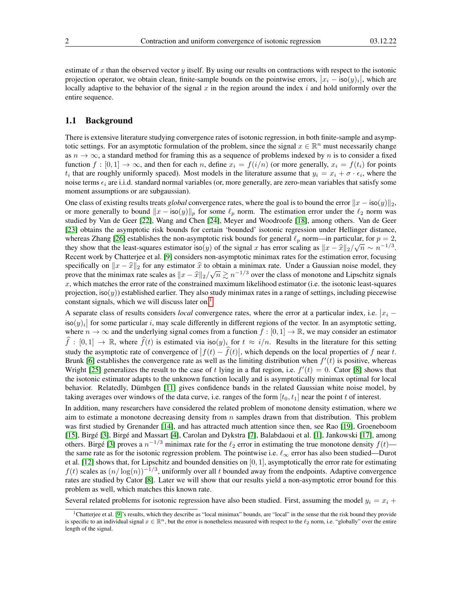estimate of x than the observed vector y itself. By using our results on contractions with respect to the isotonic projection operator, we obtain clean, finite-sample bounds on the pointwise errors,  $|x_i - \text{iso}(y)_i|$ , which are locally adaptive to the behavior of the signal  $x$  in the region around the index  $i$  and hold uniformly over the entire sequence.

### <span id="page-1-1"></span>1.1 Background

There is extensive literature studying convergence rates of isotonic regression, in both finite-sample and asymptotic settings. For an asymptotic formulation of the problem, since the signal  $x \in \mathbb{R}^n$  must necessarily change as  $n \to \infty$ , a standard method for framing this as a sequence of problems indexed by n is to consider a fixed function  $f : [0,1] \to \infty$ , and then for each n, define  $x_i = f(i/n)$  (or more generally,  $x_i = f(t_i)$  for points  $t_i$  that are roughly uniformly spaced). Most models in the literature assume that  $y_i = x_i + \sigma \cdot \epsilon_i$ , where the noise terms  $\epsilon_i$  are i.i.d. standard normal variables (or, more generally, are zero-mean variables that satisfy some moment assumptions or are subgaussian).

One class of existing results treats *global* convergence rates, where the goal is to bound the error  $\|x - \text{iso}(y)\|_2$ , or more generally to bound  $||x - \text{iso}(y)||_p$  for some  $\ell_p$  norm. The estimation error under the  $\ell_2$  norm was studied by Van de Geer [\[22\]](#page-15-1), Wang and Chen [\[24\]](#page-15-2), Meyer and Woodroofe [\[18\]](#page-15-3), among others. Van de Geer [\[23\]](#page-15-4) obtains the asymptotic risk bounds for certain 'bounded' isotonic regression under Hellinger distance, whereas Zhang [\[26\]](#page-15-5) establishes the non-asymptotic risk bounds for general  $\ell_p$  norm—in particular, for  $p = 2$ , they show that the least-squares estimator iso(y) of the signal x has error scaling as  $||x - \hat{x}||_2/\sqrt{n} \sim n^{-1/3}$ .<br>Pecent work by Chatteriae at al. [0] considers non-symmetric minimax rates for the estimation error focusing Recent work by Chatterjee et al. [\[9\]](#page-15-6) considers non-asymptotic minimax rates for the estimation error, focusing specifically on  $\|x - \hat{x}\|_2$  for any estimator  $\hat{x}$  to obtain a minimax rate. Under a Gaussian noise model, they now that the minimax rate scales as  $\|x - \hat{x}\|_2 / (\sqrt{n} \ge n^{-1/3})$  over the class of monotone and Linschitz s spectricarly on  $||x - x||_2$  for any estimator x to obtain a minimax rate. Onder a Gaussian holse model, they prove that the minimax rate scales as  $||x - \hat{x}||_2/\sqrt{n} \ge n^{-1/3}$  over the class of monotone and Lipschitz signals x  $x$ , which matches the error rate of the constrained maximum likelihood estimator (i.e. the isotonic least-squares projection,  $iso(y)$ ) established earlier. They also study minimax rates in a range of settings, including piecewise constant signals, which we will discuss later on.<sup>[1](#page-1-0)</sup>

A separate class of results considers *local* convergence rates, where the error at a particular index, i.e.  $|x_i - \hat{x}_i|$  $|\cos(y)|$  for some particular i, may scale differently in different regions of the vector. In an asymptotic setting, where  $n \to \infty$  and the underlying signal comes from a function  $f : [0, 1] \to \mathbb{R}$ , we may consider an estimator  $\widehat{f} : [0, 1] \to \mathbb{R}$ , where  $\widehat{f}(t)$  is estimated via iso $(y)_i$  for  $t \approx i/n$ . Results in the literature for this setting study the asymptotic rate of convergence of  $|f(t) - \hat{f}(t)|$ , which depends on the local properties of f near t. Brunk [\[6\]](#page-15-7) establishes the convergence rate as well as the limiting distribution when  $f'(t)$  is positive, whereas Wright [\[25\]](#page-15-8) generalizes the result to the case of t lying in a flat region, i.e.  $f'(t) = 0$ . Cator [\[8\]](#page-15-9) shows that the isotonic estimator adapts to the unknown function locally and is asymptotically minimax optimal for local behavior. Relatedly, Dümbgen [\[11\]](#page-15-10) gives confidence bands in the related Gaussian white noise model, by taking averages over windows of the data curve, i.e. ranges of the form  $[t_0, t_1]$  near the point t of interest.

In addition, many researchers have considered the related problem of monotone density estimation, where we aim to estimate a monotone decreasing density from  $n$  samples drawn from that distribution. This problem was first studied by Grenander [\[14\]](#page-15-11), and has attracted much attention since then, see Rao [\[19\]](#page-15-12), Groeneboom [\[15\]](#page-15-13), Birgé [\[3\]](#page-14-1), Birgé and Massart [\[4\]](#page-14-2), Carolan and Dykstra [\[7\]](#page-15-14), Balabdaoui et al. [\[1\]](#page-14-3), Jankowski [\[17\]](#page-15-15), among others. Birgé [\[3\]](#page-14-1) proves a  $n^{-1/3}$  minimax rate for the  $\ell_2$  error in estimating the true monotone density  $f(t)$  the same rate as for the isotonic regression problem. The pointwise i.e.  $\ell_{\infty}$  error has also been studied—Durot et al. [\[12\]](#page-15-16) shows that, for Lipschitz and bounded densities on [0, 1], asymptotically the error rate for estimating  $f(t)$  scales as  $(n/\log(n))^{-1/3}$ , uniformly over all t bounded away from the endpoints. Adaptive convergence rates are studied by Cator [\[8\]](#page-15-9). Later we will show that our results yield a non-asymptotic error bound for this problem as well, which matches this known rate.

Several related problems for isotonic regression have also been studied. First, assuming the model  $y_i = x_i +$ 

<span id="page-1-0"></span><sup>&</sup>lt;sup>1</sup>Chatterjee et al. [\[9\]](#page-15-6)'s results, which they describe as "local minimax" bounds, are "local" in the sense that the risk bound they provide is specific to an individual signal  $x \in \mathbb{R}^n$ , but the error is nonetheless measured with respect to the  $\ell_2$  norm, i.e. "globally" over the entire length of the signal.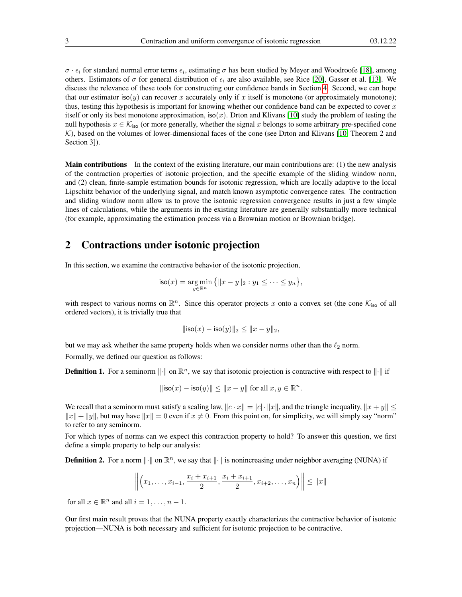$\sigma \cdot \epsilon_i$  for standard normal error terms  $\epsilon_i$ , estimating  $\sigma$  has been studied by Meyer and Woodroofe [\[18\]](#page-15-3), among others. Estimators of  $\sigma$  for general distribution of  $\epsilon_i$  are also available, see Rice [\[20\]](#page-15-17), Gasser et al. [\[13\]](#page-15-18). We discuss the relevance of these tools for constructing our confidence bands in Section [4.](#page-4-0) Second, we can hope that our estimator iso(y) can recover x accurately only if x itself is monotone (or approximately monotone); thus, testing this hypothesis is important for knowing whether our confidence band can be expected to cover  $x$ itself or only its best monotone approximation, iso(x). Drton and Klivans [\[10\]](#page-15-19) study the problem of testing the null hypothesis  $x \in \mathcal{K}_{\text{iso}}$  (or more generally, whether the signal x belongs to some arbitrary pre-specified cone  $K$ ), based on the volumes of lower-dimensional faces of the cone (see Drton and Klivans [\[10,](#page-15-19) Theorem 2 and Section 3]).

Main contributions In the context of the existing literature, our main contributions are: (1) the new analysis of the contraction properties of isotonic projection, and the specific example of the sliding window norm, and (2) clean, finite-sample estimation bounds for isotonic regression, which are locally adaptive to the local Lipschitz behavior of the underlying signal, and match known asymptotic convergence rates. The contraction and sliding window norm allow us to prove the isotonic regression convergence results in just a few simple lines of calculations, while the arguments in the existing literature are generally substantially more technical (for example, approximating the estimation process via a Brownian motion or Brownian bridge).

## 2 Contractions under isotonic projection

In this section, we examine the contractive behavior of the isotonic projection,

$$
\mathsf{iso}(x) = \underset{y \in \mathbb{R}^n}{\arg \min} \{ \|x - y\|_2 : y_1 \leq \cdots \leq y_n \},\
$$

with respect to various norms on  $\mathbb{R}^n$ . Since this operator projects x onto a convex set (the cone  $\mathcal{K}_{\text{iso}}$  of all ordered vectors), it is trivially true that

$$
\|\mathsf{iso}(x) - \mathsf{iso}(y)\|_2 \le \|x - y\|_2,
$$

but we may ask whether the same property holds when we consider norms other than the  $\ell_2$  norm. Formally, we defined our question as follows:

**Definition 1.** For a seminorm  $\|\cdot\|$  on  $\mathbb{R}^n$ , we say that isotonic projection is contractive with respect to  $\|\cdot\|$  if

$$
\|\mathsf{iso}(x) - \mathsf{iso}(y)\| \le \|x - y\| \text{ for all } x, y \in \mathbb{R}^n.
$$

We recall that a seminorm must satisfy a scaling law,  $\|c \cdot x\| = |c| \cdot \|x\|$ , and the triangle inequality,  $\|x + y\| \le$  $||x|| + ||y||$ , but may have  $||x|| = 0$  even if  $x \neq 0$ . From this point on, for simplicity, we will simply say "norm" to refer to any seminorm.

For which types of norms can we expect this contraction property to hold? To answer this question, we first define a simple property to help our analysis:

**Definition 2.** For a norm  $\|\cdot\|$  on  $\mathbb{R}^n$ , we say that  $\|\cdot\|$  is nonincreasing under neighbor averaging (NUNA) if

$$
\left\| \left(x_1, \ldots, x_{i-1}, \frac{x_i + x_{i+1}}{2}, \frac{x_i + x_{i+1}}{2}, x_{i+2}, \ldots, x_n \right) \right\| \leq \|x\|
$$

for all  $x \in \mathbb{R}^n$  and all  $i = 1, \ldots, n - 1$ .

Our first main result proves that the NUNA property exactly characterizes the contractive behavior of isotonic projection—NUNA is both necessary and sufficient for isotonic projection to be contractive.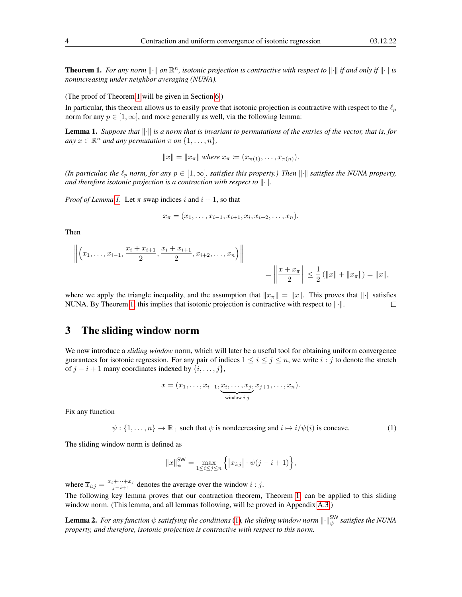<span id="page-3-0"></span>**Theorem 1.** For any norm  $\|\cdot\|$  on  $\mathbb{R}^n$ , isotonic projection is contractive with respect to  $\|\cdot\|$  if and only if  $\|\cdot\|$  is *nonincreasing under neighbor averaging (NUNA).*

(The proof of Theorem [1](#page-3-0) will be given in Section [6.](#page-12-0))

In particular, this theorem allows us to easily prove that isotonic projection is contractive with respect to the  $\ell_p$ norm for any  $p \in [1, \infty]$ , and more generally as well, via the following lemma:

<span id="page-3-1"></span>**Lemma 1.** Suppose that  $\|\cdot\|$  is a norm that is invariant to permutations of the entries of the vector, that is, for  $any \ x \in \mathbb{R}^n$  *and any permutation*  $\pi$  *on*  $\{1, \dots, n\}$ *,* 

 $||x|| = ||x_\pi||$  where  $x_\pi := (x_{\pi(1)}, \ldots, x_{\pi(n)})$ .

*(In particular, the*  $\ell_p$  *norm, for any*  $p \in [1,\infty]$ *, satisfies this property.) Then*  $\|\cdot\|$  *satisfies the NUNA property, and therefore isotonic projection is a contraction with respect to*  $\|\cdot\|$ .

*Proof of Lemma [1.](#page-3-1)* Let  $\pi$  swap indices i and  $i + 1$ , so that

$$
x_{\pi} = (x_1, \ldots, x_{i-1}, x_{i+1}, x_i, x_{i+2}, \ldots, x_n).
$$

Then

$$
\left\| \left( x_1, \ldots, x_{i-1}, \frac{x_i + x_{i+1}}{2}, \frac{x_i + x_{i+1}}{2}, x_{i+2}, \ldots, x_n \right) \right\|
$$
  
= 
$$
\left\| \frac{x + x_{\pi}}{2} \right\| \leq \frac{1}{2} (\|x\| + \|x_{\pi}\|) = \|x\|,
$$

where we apply the triangle inequality, and the assumption that  $||x_\pi|| = ||x||$ . This proves that  $||\cdot||$  satisfies NUNA. By Theorem [1,](#page-3-0) this implies that isotonic projection is contractive with respect to  $\|\cdot\|$ .  $\Box$ 

## 3 The sliding window norm

We now introduce a *sliding window* norm, which will later be a useful tool for obtaining uniform convergence guarantees for isotonic regression. For any pair of indices  $1 \le i \le j \le n$ , we write  $i : j$  to denote the stretch of  $j - i + 1$  many coordinates indexed by  $\{i, \ldots, j\}$ ,

$$
x = (x_1, \ldots, x_{i-1}, \underbrace{x_i, \ldots, x_j}_{\text{window } i:j}, x_{j+1}, \ldots, x_n).
$$

Fix any function

<span id="page-3-2"></span> $\psi$ : {1, ...,  $n$ }  $\rightarrow \mathbb{R}_+$  such that  $\psi$  is nondecreasing and  $i \mapsto i/\psi(i)$  is concave. (1)

The sliding window norm is defined as

$$
||x||_{\psi}^{\text{SW}} = \max_{1 \le i \le j \le n} \left\{ |\overline{x}_{i:j}| \cdot \psi(j - i + 1) \right\},\
$$

where  $\overline{x}_{i:j} = \frac{x_i + \dots + x_j}{j - i + 1}$  denotes the average over the window  $i : j$ .

The following key lemma proves that our contraction theorem, Theorem [1,](#page-3-0) can be applied to this sliding window norm. (This lemma, and all lemmas following, will be proved in Appendix [A.3.](#page-21-0))

<span id="page-3-3"></span>**Lemma 2.** For any function  $\psi$  satisfying the conditions [\(1\)](#page-3-2), the sliding window norm  $\|\cdot\|_{\psi}^{\text{SW}}$  satisfies the NUNA *property, and therefore, isotonic projection is contractive with respect to this norm.*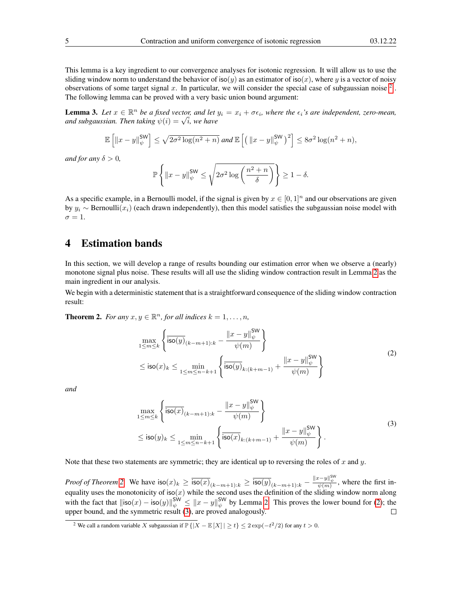This lemma is a key ingredient to our convergence analyses for isotonic regression. It will allow us to use the sliding window norm to understand the behavior of iso(y) as an estimator of iso(x), where y is a vector of noisy observations of some target signal x. In particular, we will consider the special case of subgaussian noise  $<sup>2</sup>$  $<sup>2</sup>$  $<sup>2</sup>$ .</sup> The following lemma can be proved with a very basic union bound argument:

<span id="page-4-5"></span>**Lemma 3.** Let  $x \in \mathbb{R}^n$  be a fixed vector, and let  $y_i = x_i + \sigma \epsilon_i$ , where the  $\epsilon_i$ 's are independent, zero-mean, **Lemma 5.** Let  $x \in \mathbb{R}^n$  be a fixed vector, and let and subgaussian. Then taking  $\psi(i) = \sqrt{i}$ , we have

$$
\mathbb{E}\left[\left\|x-y\right\|_{\psi}^{\mathrm{SW}}\right] \leq \sqrt{2\sigma^2\log(n^2+n)} \text{ and } \mathbb{E}\left[\left(\left\|x-y\right\|_{\psi}^{\mathrm{SW}}\right)^2\right] \leq 8\sigma^2\log(n^2+n),
$$

*and for any*  $\delta > 0$ *,* 

$$
\mathbb{P}\left\{\left\|x-y\right\|_{\psi}^{\mathsf{SW}}\leq\sqrt{2\sigma^{2}\log\left(\frac{n^{2}+n}{\delta}\right)}\right\}\geq1-\delta.
$$

As a specific example, in a Bernoulli model, if the signal is given by  $x \in [0, 1]^n$  and our observations are given by  $y_i$  ∼ Bernoulli( $x_i$ ) (each drawn independently), then this model satisfies the subgaussian noise model with  $\sigma = 1$ .

## <span id="page-4-0"></span>4 Estimation bands

In this section, we will develop a range of results bounding our estimation error when we observe a (nearly) monotone signal plus noise. These results will all use the sliding window contraction result in Lemma [2](#page-3-3) as the main ingredient in our analysis.

We begin with a deterministic statement that is a straightforward consequence of the sliding window contraction result:

<span id="page-4-3"></span><span id="page-4-2"></span>**Theorem 2.** For any  $x, y \in \mathbb{R}^n$ , for all indices  $k = 1, \ldots, n$ ,

$$
\max_{1 \le m \le k} \left\{ \frac{\overline{\mathsf{iso}(y)}_{(k-m+1):k} - \frac{\|x - y\|_{\psi}^{\mathsf{SW}}}{\psi(m)} \right\} \n\le \mathsf{iso}(x)_k \le \min_{1 \le m \le n-k+1} \left\{ \frac{\overline{\mathsf{iso}(y)}_{k:(k+m-1)} + \frac{\|x - y\|_{\psi}^{\mathsf{SW}}}{\psi(m)} \right\}
$$
\n(2)

<span id="page-4-4"></span>*and*

$$
\max_{1 \le m \le k} \left\{ \frac{\left| \bar{s} \sigma(x)_{(k-m+1):k} - \frac{\|x - y\|_{\psi}^{\text{SW}}}{\psi(m)} \right\}}{\psi(m)} \right\}
$$
\n
$$
\le \text{iso}(y)_k \le \min_{1 \le m \le n-k+1} \left\{ \frac{\left| \bar{s} \sigma(x)_{k:(k+m-1)} - \frac{\|x - y\|_{\psi}^{\text{SW}}}{\psi(m)} \right\}}{\psi(m)} \right\}.
$$
\n(3)

Note that these two statements are symmetric; they are identical up to reversing the roles of  $x$  and  $y$ .

*Proof of Theorem [2.](#page-4-2)* We have  $\sec(x)_k \ge \frac{\csc(x)}{\sec(x)_{(k-m+1):k}} \ge \frac{\csc(y)}{\sec(y)_{(k-m+1):k}} - \frac{\csc(y)}{\csc(y)}$ , where the first inequality uses the monotonicity of iso(x) while the second uses the definition of the sliding window norm along with the fact that  $\|\text{iso}(x) - \text{iso}(y)\|_{\psi}^{\text{SW}} \leq \|x - y\|_{\psi}^{\text{SW}}$  by Lemma [2.](#page-3-3) This proves the lower bound for [\(2\)](#page-4-3); the upper bound, and the symmetric result [\(3\)](#page-4-4), are proved analogously.  $\Box$ 

<span id="page-4-1"></span><sup>&</sup>lt;sup>2</sup> We call a random variable X subgaussian if  $\mathbb{P}\{|X - \mathbb{E}[X]| \ge t\} \le 2\exp(-t^2/2)$  for any  $t > 0$ .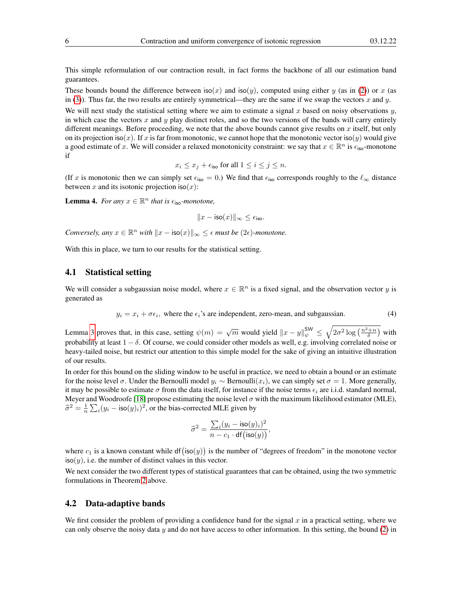This simple reformulation of our contraction result, in fact forms the backbone of all our estimation band guarantees.

These bounds bound the difference between iso(x) and iso(y), computed using either y (as in [\(2\)](#page-4-3)) or x (as in [\(3\)](#page-4-4)). Thus far, the two results are entirely symmetrical—they are the same if we swap the vectors x and y.

We will next study the statistical setting where we aim to estimate a signal  $x$  based on noisy observations  $y$ , in which case the vectors  $x$  and  $y$  play distinct roles, and so the two versions of the bands will carry entirely different meanings. Before proceeding, we note that the above bounds cannot give results on x itself, but only on its projection iso(x). If x is far from monotonic, we cannot hope that the monotonic vector iso(y) would give a good estimate of x. We will consider a relaxed monotonicity constraint: we say that  $x \in \mathbb{R}^n$  is  $\epsilon_{\text{iso}}$ -monotone if

$$
x_i \leq x_j + \epsilon_{\text{iso}}
$$
 for all  $1 \leq i \leq j \leq n$ .

(If x is monotonic then we can simply set  $\epsilon_{\text{iso}} = 0$ .) We find that  $\epsilon_{\text{iso}}$  corresponds roughly to the  $\ell_{\infty}$  distance between x and its isotonic projection iso $(x)$ :

<span id="page-5-2"></span>**Lemma 4.** For any  $x \in \mathbb{R}^n$  that is  $\epsilon_{\text{iso}}$ -monotone,

$$
||x - \text{iso}(x)||_{\infty} \leq \epsilon_{\text{iso}}.
$$

*Conversely, any*  $x \in \mathbb{R}^n$  *with*  $||x - \text{iso}(x)||_{\infty} \leq \epsilon$  *must be* (2 $\epsilon$ *)-monotone.* 

With this in place, we turn to our results for the statistical setting.

#### <span id="page-5-1"></span>4.1 Statistical setting

We will consider a subgaussian noise model, where  $x \in \mathbb{R}^n$  is a fixed signal, and the observation vector y is generated as

<span id="page-5-0"></span>
$$
y_i = x_i + \sigma \epsilon_i
$$
, where the  $\epsilon_i$ 's are independent, zero-mean, and subgaussian. (4)

Lemma [3](#page-4-5) proves that, in this case, setting  $\psi(m) = \sqrt{m}$  would yield  $\|x - y\|_{\psi}^{\text{SW}} \le \sqrt{2\sigma^2 \log\left(\frac{n^2 + n}{\delta}\right)}$  with probability at least  $1 - \delta$ . Of course, we could consider other models as well, e.g. involving correlated noise or heavy-tailed noise, but restrict our attention to this simple model for the sake of giving an intuitive illustration of our results.

In order for this bound on the sliding window to be useful in practice, we need to obtain a bound or an estimate for the noise level  $\sigma$ . Under the Bernoulli model  $y_i \sim \text{Bernoulli}(x_i)$ , we can simply set  $\sigma = 1$ . More generally, it may be possible to estimate  $\sigma$  from the data itself, for instance if the noise terms  $\epsilon_i$  are i.i.d. standard normal, Meyer and Woodroofe [\[18\]](#page-15-3) propose estimating the noise level  $\sigma$  with the maximum likelihood estimator (MLE),  $\hat{\sigma}^2 = \frac{1}{n} \sum_i (y_i - \text{iso}(y)_i)^2$ , or the bias-corrected MLE given by

$$
\widehat{\sigma}^2 = \frac{\sum_i (y_i - \mathsf{iso}(y)_i)^2}{n - c_1 \cdot \mathsf{df}(\mathsf{iso}(y))},
$$

where  $c_1$  is a known constant while df(iso(y)) is the number of "degrees of freedom" in the monotone vector  $iso(y)$ , i.e. the number of distinct values in this vector.

We next consider the two different types of statistical guarantees that can be obtained, using the two symmetric formulations in Theorem [2](#page-4-2) above.

#### 4.2 Data-adaptive bands

We first consider the problem of providing a confidence band for the signal  $x$  in a practical setting, where we can only observe the noisy data y and do not have access to other information. In this setting, the bound [\(2\)](#page-4-3) in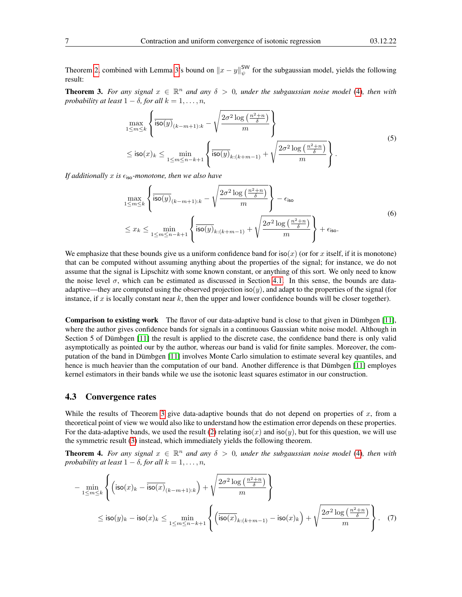Theorem [2,](#page-4-2) combined with Lemma [3'](#page-4-5)s bound on  $||x - y||_{\psi}^{\text{SW}}$  for the subgaussian model, yields the following result:

<span id="page-6-0"></span>**Theorem 3.** For any signal  $x \in \mathbb{R}^n$  and any  $\delta > 0$ , under the subgaussian noise model [\(4\)](#page-5-0), then with *probability at least*  $1 - \delta$ *, for all*  $k = 1, \ldots, n$ *,* 

$$
\max_{1 \le m \le k} \left\{ \overline{\text{iso}(y)}_{(k-m+1):k} - \sqrt{\frac{2\sigma^2 \log\left(\frac{n^2+n}{\delta}\right)}{m}} \right\}
$$
\n
$$
\le \text{iso}(x)_k \le \min_{1 \le m \le n-k+1} \left\{ \overline{\text{iso}(y)}_{k:(k+m-1)} + \sqrt{\frac{2\sigma^2 \log\left(\frac{n^2+n}{\delta}\right)}{m}} \right\}.
$$
\n(5)

<span id="page-6-4"></span><span id="page-6-3"></span>*If additionally* x *is*  $\epsilon_{\text{iso}}$ *-monotone, then we also have* 

$$
\max_{1 \le m \le k} \left\{ \frac{\overline{\text{iso}(y)}_{(k-m+1):k} - \sqrt{\frac{2\sigma^2 \log\left(\frac{n^2+n}{\delta}\right)}{m}} \right\} - \epsilon_{\text{iso}} \\ \le x_k \le \min_{1 \le m \le n-k+1} \left\{ \frac{\overline{\text{iso}(y)}_{k:(k+m-1)} + \sqrt{\frac{2\sigma^2 \log\left(\frac{n^2+n}{\delta}\right)}{m}} \right\} + \epsilon_{\text{iso}}. \tag{6}
$$

We emphasize that these bounds give us a uniform confidence band for iso(x) (or for x itself, if it is monotone) that can be computed without assuming anything about the properties of the signal; for instance, we do not assume that the signal is Lipschitz with some known constant, or anything of this sort. We only need to know the noise level  $\sigma$ , which can be estimated as discussed in Section [4.1.](#page-5-1) In this sense, the bounds are dataadaptive—they are computed using the observed projection iso $(y)$ , and adapt to the properties of the signal (for instance, if  $x$  is locally constant near  $k$ , then the upper and lower confidence bounds will be closer together).

Comparison to existing work The flavor of our data-adaptive band is close to that given in Dümbgen [\[11\]](#page-15-10), where the author gives confidence bands for signals in a continuous Gaussian white noise model. Although in Section 5 of Dümbgen [\[11\]](#page-15-10) the result is applied to the discrete case, the confidence band there is only valid asymptotically as pointed our by the author, whereas our band is valid for finite samples. Moreover, the computation of the band in Dümbgen [\[11\]](#page-15-10) involves Monte Carlo simulation to estimate several key quantiles, and hence is much heavier than the computation of our band. Another difference is that Dümbgen [\[11\]](#page-15-10) employes kernel estimators in their bands while we use the isotonic least squares estimator in our construction.

#### 4.3 Convergence rates

While the results of Theorem [3](#page-6-0) give data-adaptive bounds that do not depend on properties of x, from a theoretical point of view we would also like to understand how the estimation error depends on these properties. For the data-adaptive bands, we used the result [\(2\)](#page-4-3) relating  $iso(x)$  and  $iso(y)$ , but for this question, we will use the symmetric result [\(3\)](#page-4-4) instead, which immediately yields the following theorem.

<span id="page-6-1"></span>**Theorem 4.** For any signal  $x \in \mathbb{R}^n$  and any  $\delta > 0$ , under the subgaussian noise model [\(4\)](#page-5-0), then with *probability at least*  $1 - \delta$ *, for all*  $k = 1, \ldots, n$ *,* 

<span id="page-6-2"></span>
$$
-\min_{1 \le m \le k} \left\{ \left( \mathsf{iso}(x)_k - \overline{\mathsf{iso}(x)}_{(k-m+1):k} \right) + \sqrt{\frac{2\sigma^2 \log\left(\frac{n^2+n}{\delta}\right)}{m}} \right\}
$$
  

$$
\le \mathsf{iso}(y)_k - \mathsf{iso}(x)_k \le \min_{1 \le m \le n-k+1} \left\{ \left( \overline{\mathsf{iso}(x)}_{k:(k+m-1)} - \mathsf{iso}(x)_k \right) + \sqrt{\frac{2\sigma^2 \log\left(\frac{n^2+n}{\delta}\right)}{m}} \right\}. \quad (7)
$$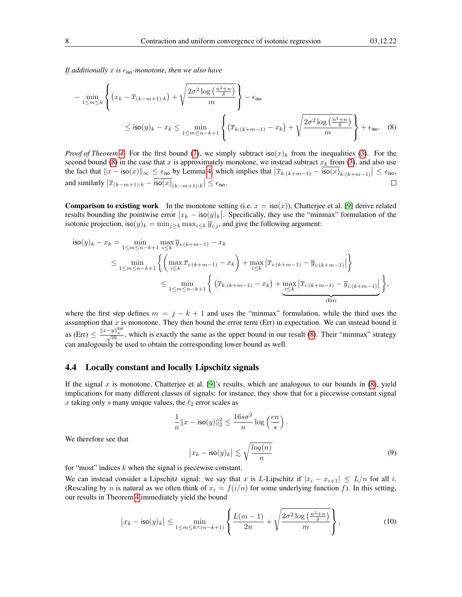*If additionally*  $x$  *is*  $\epsilon$ <sub>iso</sub>-monotone, then we also have

<span id="page-7-0"></span>
$$
-\min_{1 \le m \le k} \left\{ (x_k - \overline{x}_{(k-m+1):k}) + \sqrt{\frac{2\sigma^2 \log\left(\frac{n^2+n}{\delta}\right)}{m}} \right\} - \epsilon_{\text{iso}}
$$
  
 
$$
\le \text{iso}(y)_k - x_k \le \min_{1 \le m \le n-k+1} \left\{ \left( \overline{x}_{k:(k+m-1)} - x_k \right) + \sqrt{\frac{2\sigma^2 \log\left(\frac{n^2+n}{\delta}\right)}{m}} \right\} + \epsilon_{\text{iso}}.
$$
 (8)

*Proof of Theorem* [4.](#page-6-1) For the first bound [\(7\)](#page-6-2), we simply subtract iso(x)<sub>k</sub> from the inequalities [\(3\)](#page-4-4). For the second bound [\(8\)](#page-7-0) in the case that x is approximately monotone, we instead subtract  $x<sub>k</sub>$  from [\(3\)](#page-4-4), and also use the fact that  $||x - \text{iso}(x)||_{\infty} \leq \epsilon_{\text{iso}}$  by Lemma [4,](#page-5-2) which implies that  $|\overline{x}_{k:(k+m-1)} - \overline{\text{iso}(x)}_{k:(k+m-1)}| \leq \epsilon_{\text{iso}}$ , and similarly  $|\overline{x}_{(k-m+1):k} - \overline{\text{iso}(x)}_{(k-m+1):k}| \leq \epsilon_{\text{iso}}$ .

**Comparison to existing work** In the monotone setting (i.e.  $x = \text{iso}(x)$ ), Chatterjee et al. [\[9\]](#page-15-6) derive related results bounding the pointwise error  $|x_k - \text{iso}(y)_k|$ . Specifically, they use the "minmax" formulation of the isotonic projection, iso $(y)_k = \min_{j \ge k} \max_{i \le k} \overline{y}_{i:j}$ , and give the following argument:

$$
\begin{split} \mathsf{iso}(y)_k - x_k &= \min_{1 \le m \le n-k+1} \max_{i \le k} \overline{y}_{i:(k+m-1)} - x_k \\ &\le \min_{1 \le m \le n-k+1} \left\{ \left( \max_{i \le k} \overline{x}_{i:(k+m-1)} - x_k \right) + \max_{i \le k} \left| \overline{x}_{i:(k+m-1)} - \overline{y}_{i:(k+m-1)} \right| \right\} \\ &\le \min_{1 \le m \le n-k+1} \left\{ \left( \overline{x}_{k:(k+m-1)} - x_k \right) + \max_{i \le k} \left| \overline{x}_{i:(k+m-1)} - \overline{y}_{i:(k+m-1)} \right| \right\}, \end{split}
$$

where the first step defines  $m = j - k + 1$  and uses the "minmax" formulation, while the third uses the assumption that  $x$  is monotone. They then bound the error term (Err) in expectation. We can instead bound it as (Err)  $\leq \frac{||x-y||_{\psi}^{\text{SW}}}{\sqrt{m}}$ , which is exactly the same as the upper bound in our result [\(8\)](#page-7-0). Their "minmax" strategy can analogously be used to obtain the corresponding lower bound as well.

#### 4.4 Locally constant and locally Lipschitz signals

If the signal x is monotone, Chatterjee et al. [\[9\]](#page-15-6)'s results, which are analogous to our bounds in  $(8)$ , yield implications for many different classes of signals: for instance, they show that for a piecewise constant signal x taking only s many unique values, the  $\ell_2$  error scales as

<span id="page-7-1"></span>
$$
\frac{1}{n} ||x - \text{iso}(y)||_2^2 \le \frac{16s\sigma^2}{n} \log\left(\frac{en}{s}\right).
$$

$$
|x_k - \text{iso}(y)_k| \lesssim \sqrt{\frac{\log(n)}{n}} \tag{9}
$$

We therefore see that

for "most" indices  $k$  when the signal is piecewise constant.

We can instead consider a Lipschitz signal: we say that x is L-Lipschitz if  $|x_i - x_{i+1}| \le L/n$  for all i. (Rescaling by *n* is natural as we often think of  $x_i = f(i/n)$  for some underlying function f). In this setting, our results in Theorem [4](#page-6-1) immediately yield the bound

<span id="page-7-2"></span>
$$
\left| x_k - \mathsf{iso}(y)_k \right| \le \min_{1 \le m \le k \wedge (n-k+1)} \left\{ \frac{L(m-1)}{2n} + \sqrt{\frac{2\sigma^2 \log\left(\frac{n^2+n}{\delta}\right)}{m}} \right\},\tag{10}
$$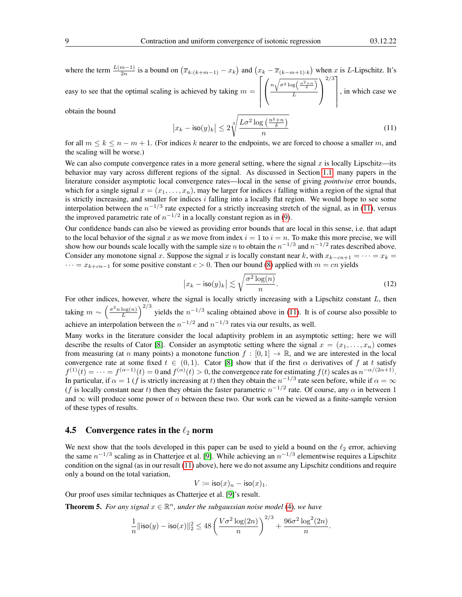where the term  $\frac{L(m-1)}{2n}$  is a bound on  $(\overline{x}_{k:(k+m-1)} - x_k)$  and  $(x_k - \overline{x}_{(k-m+1):k})$  when x is L-Lipschitz. It's  $_{2n}$ easy to see that the optimal scaling is achieved by taking  $m =$  $\lceil$   $\sqrt{ }$  $\mathcal{L}$  $n\sqrt{\sigma^2\log\left(\frac{n^2+n}{\delta}\right)}$ L  $\setminus$  $\overline{1}$  $2/3$ ] , in which case we

obtain the bound

<span id="page-8-0"></span>
$$
\left| x_k - \text{iso}(y)_k \right| \le 2 \sqrt[3]{\frac{L\sigma^2 \log\left(\frac{n^2 + n}{\delta}\right)}{n}} \tag{11}
$$

for all  $m \leq k \leq n-m+1$ . (For indices k nearer to the endpoints, we are forced to choose a smaller m, and the scaling will be worse.)

We can also compute convergence rates in a more general setting, where the signal  $x$  is locally Lipschitz—its behavior may vary across different regions of the signal. As discussed in Section [1.1,](#page-1-1) many papers in the literature consider asymptotic local convergence rates—local in the sense of giving *pointwise* error bounds, which for a single signal  $x = (x_1, \ldots, x_n)$ , may be larger for indices i falling within a region of the signal that is strictly increasing, and smaller for indices  $i$  falling into a locally flat region. We would hope to see some interpolation between the  $n^{-1/3}$  rate expected for a strictly increasing stretch of the signal, as in [\(11\)](#page-8-0), versus the improved parametric rate of  $n^{-1/2}$  in a locally constant region as in [\(9\)](#page-7-1).

Our confidence bands can also be viewed as providing error bounds that are local in this sense, i.e. that adapt to the local behavior of the signal x as we move from index  $i = 1$  to  $i = n$ . To make this more precise, we will show how our bounds scale locally with the sample size *n* to obtain the  $n^{-1/3}$  and  $n^{-1/2}$  rates described above. Consider any monotone signal x. Suppose the signal x is locally constant near k, with  $x_{k-cn+1} = \cdots = x_k =$  $\cdots = x_{k+cn-1}$  for some positive constant  $c > 0$ . Then our bound [\(8\)](#page-7-0) applied with  $m = cn$  yields

<span id="page-8-1"></span>
$$
\left| x_k - \text{iso}(y)_k \right| \lesssim \sqrt{\frac{\sigma^2 \log(n)}{n}}.
$$
 (12)

For other indices, however, where the signal is locally strictly increasing with a Lipschitz constant L, then taking  $m \sim \left(\frac{\sigma^2 n \log(n)}{L}\right)$  $\frac{\log(n)}{L}$   $\Big)^{2/3}$  yields the  $n^{-1/3}$  scaling obtained above in [\(11\)](#page-8-0). It is of course also possible to achieve an interpolation between the  $n^{-1/2}$  and  $n^{-1/3}$  rates via our results, as well.

Many works in the literature consider the local adaptivity problem in an asymptotic setting; here we will describe the results of Cator [\[8\]](#page-15-9). Consider an asymptotic setting where the signal  $x = (x_1, \ldots, x_n)$  comes from measuring (at n many points) a monotone function  $f : [0, 1] \to \mathbb{R}$ , and we are interested in the local convergence rate at some fixed  $t \in (0,1)$ . Cator [\[8\]](#page-15-9) show that if the first  $\alpha$  derivatives of f at t satisfy  $f^{(1)}(t) = \cdots = f^{(\alpha-1)}(t) = 0$  and  $f^{(\alpha)}(t) > 0$ , the convergence rate for estimating  $f(t)$  scales as  $n^{-\alpha/(2\alpha+1)}$ . In particular, if  $\alpha = 1$  (f is strictly increasing at t) then they obtain the  $n^{-1/3}$  rate seen before, while if  $\alpha = \infty$ (f is locally constant near t) then they obtain the faster parametric  $n^{-1/2}$  rate. Of course, any  $\alpha$  in between 1 and  $\infty$  will produce some power of n between these two. Our work can be viewed as a finite-sample version of these types of results.

#### 4.5 Convergence rates in the  $\ell_2$  norm

We next show that the tools developed in this paper can be used to yield a bound on the  $\ell_2$  error, achieving the same  $n^{-1/3}$  scaling as in Chatterjee et al. [\[9\]](#page-15-6). While achieving an  $n^{-1/3}$  elementwise requires a Lipschitz condition on the signal (as in our result [\(11\)](#page-8-0) above), here we do not assume any Lipschitz conditions and require only a bound on the total variation,

$$
V \coloneqq \mathsf{iso}(x)_n - \mathsf{iso}(x)_1.
$$

Our proof uses similar techniques as Chatterjee et al. [\[9\]](#page-15-6)'s result.

<span id="page-8-2"></span>**Theorem 5.** For any signal  $x \in \mathbb{R}^n$ , under the subgaussian noise model [\(4\)](#page-5-0), we have

$$
\frac{1}{n}||\text{iso}(y) - \text{iso}(x)||_2^2 \le 48\left(\frac{V\sigma^2\log(2n)}{n}\right)^{2/3} + \frac{96\sigma^2\log^2(2n)}{n}.
$$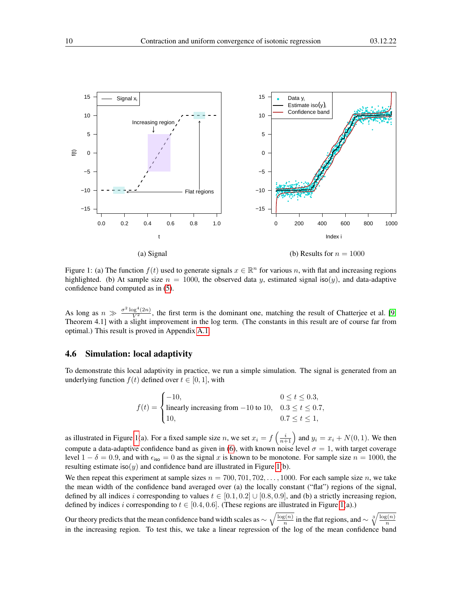

<span id="page-9-0"></span>Figure 1: (a) The function  $f(t)$  used to generate signals  $x \in \mathbb{R}^n$  for various n, with flat and increasing regions highlighted. (b) At sample size  $n = 1000$ , the observed data y, estimated signal iso(y), and data-adaptive confidence band computed as in [\(5\)](#page-6-3).

As long as  $n \gg \frac{\sigma^2 \log^4(2n)}{V^2}$ , the first term is the dominant one, matching the result of Chatterjee et al. [\[9,](#page-15-6) Theorem 4.1] with a slight improvement in the log term. (The constants in this result are of course far from optimal.) This result is proved in Appendix [A.1.](#page-16-0)

#### 4.6 Simulation: local adaptivity

To demonstrate this local adaptivity in practice, we run a simple simulation. The signal is generated from an underlying function  $f(t)$  defined over  $t \in [0, 1]$ , with

$$
f(t) = \begin{cases} -10, & 0 \le t \le 0.3, \\ \text{linearly increasing from } -10 \text{ to } 10, & 0.3 \le t \le 0.7, \\ 10, & 0.7 \le t \le 1, \end{cases}
$$

as illustrated in Figure [1\(](#page-9-0)a). For a fixed sample size n, we set  $x_i = f\left(\frac{i}{n+1}\right)$  and  $y_i = x_i + N(0, 1)$ . We then compute a data-adaptive confidence band as given in [\(6\)](#page-6-4), with known noise level  $\sigma = 1$ , with target coverage level  $1 - \delta = 0.9$ , and with  $\epsilon_{\text{iso}} = 0$  as the signal x is known to be monotone. For sample size  $n = 1000$ , the resulting estimate iso(y) and confidence band are illustrated in Figure [1\(](#page-9-0)b).

We then repeat this experiment at sample sizes  $n = 700, 701, 702, \ldots, 1000$ . For each sample size n, we take the mean width of the confidence band averaged over (a) the locally constant ("flat") regions of the signal, defined by all indices i corresponding to values  $t \in [0.1, 0.2] \cup [0.8, 0.9]$ , and (b) a strictly increasing region, defined by indices i corresponding to  $t \in [0.4, 0.6]$ . (These regions are illustrated in Figure [1\(](#page-9-0)a).)

Our theory predicts that the mean confidence band width scales as  $\sim \sqrt{\frac{\log(n)}{n}}$  $\frac{\overline{s(n)}}{n}$  in the flat regions, and  $\sim \sqrt[3]{\frac{\log(n)}{n}}$ our dictry predicts that the mean connuence band which searcs as  $\sqrt[n]{\binom{n}{n}}$  in the matricesons, and  $\sqrt[n]{\binom{n}{n}}$  in the increasing region. To test this, we take a linear regression of the log of the mean confidence ba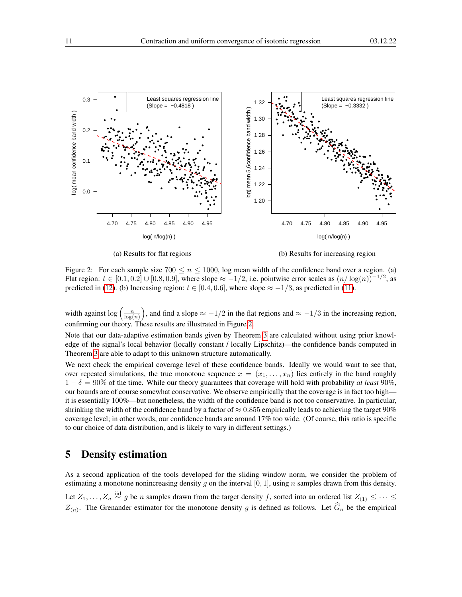

<span id="page-10-0"></span>(a) Results for flat regions (b) Results for increasing region

Figure 2: For each sample size  $700 \le n \le 1000$ , log mean width of the confidence band over a region. (a) Flat region:  $t \in [0.1, 0.2] \cup [0.8, 0.9]$ , where slope  $\approx -1/2$ , i.e. pointwise error scales as  $(n/\log(n))^{-1/2}$ , as predicted in [\(12\)](#page-8-1). (b) Increasing region:  $t \in [0.4, 0.6]$ , where slope  $\approx -1/3$ , as predicted in [\(11\)](#page-8-0).

width against  $\log\left(\frac{n}{\log(n)}\right)$ , and find a slope  $\approx -1/2$  in the flat regions and  $\approx -1/3$  in the increasing region, confirming our theory. These results are illustrated in Figure [2.](#page-10-0)

Note that our data-adaptive estimation bands given by Theorem [3](#page-6-0) are calculated without using prior knowledge of the signal's local behavior (locally constant / locally Lipschitz)—the confidence bands computed in Theorem [3](#page-6-0) are able to adapt to this unknown structure automatically.

We next check the empirical coverage level of these confidence bands. Ideally we would want to see that, over repeated simulations, the true monotone sequence  $x = (x_1, \ldots, x_n)$  lies entirely in the band roughly  $1 - \delta = 90\%$  of the time. While our theory guarantees that coverage will hold with probability *at least* 90%, our bounds are of course somewhat conservative. We observe empirically that the coverage is in fact too high it is essentially 100%—but nonetheless, the width of the confidence band is not too conservative. In particular, shrinking the width of the confidence band by a factor of  $\approx 0.855$  empirically leads to achieving the target 90% coverage level; in other words, our confidence bands are around 17% too wide. (Of course, this ratio is specific to our choice of data distribution, and is likely to vary in different settings.)

## 5 Density estimation

As a second application of the tools developed for the sliding window norm, we consider the problem of estimating a monotone nonincreasing density q on the interval [0, 1], using n samples drawn from this density. Let  $Z_1, \ldots, Z_n \stackrel{\text{iid}}{\sim} g$  be n samples drawn from the target density f, sorted into an ordered list  $Z_{(1)} \leq \cdots \leq$  $Z(n)$ . The Grenander estimator for the monotone density g is defined as follows. Let  $G_n$  be the empirical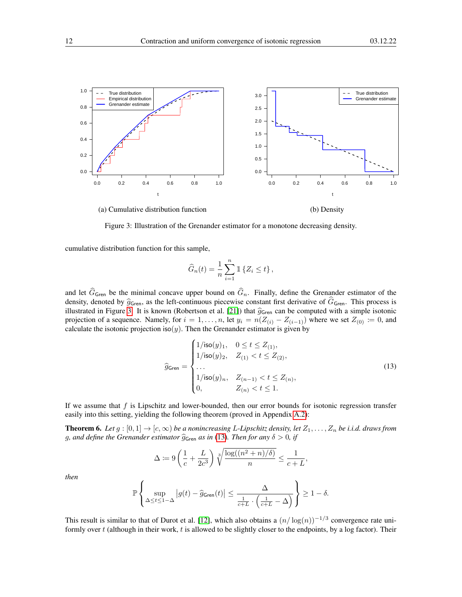

<span id="page-11-0"></span>Figure 3: Illustration of the Grenander estimator for a monotone decreasing density.

cumulative distribution function for this sample,

$$
\widehat{G}_n(t) = \frac{1}{n} \sum_{i=1}^n \mathbb{1} \left\{ Z_i \le t \right\},\,
$$

and let  $\widehat{G}_{\mathsf{Green}}$  be the minimal concave upper bound on  $\widehat{G}_n$ . Finally, define the Grenander estimator of the density, denoted by  $\hat{g}_{\mathsf{Gren}}$ , as the left-continuous piecewise constant first derivative of  $\hat{G}_{\mathsf{Gren}}$ . This process is illustrated in Figure [3.](#page-11-0) It is known (Robertson et al. [\[21\]](#page-15-0)) that  $\hat{g}_{\mathsf{Gren}}$  can be computed with a simple isotonic projection of a sequence. Namely, for  $i = 1, \ldots, n$ , let  $y_i = n(Z_{(i)} - Z_{(i-1)})$  where we set  $Z_{(0)} \coloneqq 0$ , and calculate the isotonic projection iso(y). Then the Grenander estimator is given by

<span id="page-11-1"></span>
$$
\hat{g}_{\text{Gren}} = \begin{cases}\n1/\text{iso}(y)_1, & 0 \le t \le Z_{(1)}, \\
1/\text{iso}(y)_2, & Z_{(1)} < t \le Z_{(2)}, \\
\dots \\
1/\text{iso}(y)_n, & Z_{(n-1)} < t \le Z_{(n)}, \\
0, & Z_{(n)} < t \le 1.\n\end{cases}
$$
\n(13)

If we assume that  $f$  is Lipschitz and lower-bounded, then our error bounds for isotonic regression transfer easily into this setting, yielding the following theorem (proved in Appendix [A.2\)](#page-18-0):

<span id="page-11-2"></span>**Theorem 6.** Let  $g:[0,1]\to[c,\infty)$  be a nonincreasing L-Lipschitz density, let  $Z_1,\ldots,Z_n$  be i.i.d. draws from g, and define the Grenander estimator  $\hat{g}_{\mathsf{Gren}}$  *as in* [\(13\)](#page-11-1). Then for any  $\delta > 0$ , if

$$
\Delta \coloneqq 9\left(\frac{1}{c} + \frac{L}{2c^3}\right) \sqrt[3]{\frac{\log((n^2 + n)/\delta)}{n}} \le \frac{1}{c+L},
$$

*then*

$$
\mathbb{P}\left\{\sup_{\Delta\leq t\leq 1-\Delta}\left|g(t)-\widehat{g}_{\mathsf{Gren}}(t)\right|\leq \frac{\Delta}{\frac{1}{c+L}\cdot\left(\frac{1}{c+L}-\Delta\right)}\right\}\geq 1-\delta.
$$

This result is similar to that of Durot et al. [\[12\]](#page-15-16), which also obtains a  $(n/\log(n))^{-1/3}$  convergence rate uniformly over  $t$  (although in their work,  $t$  is allowed to be slightly closer to the endpoints, by a log factor). Their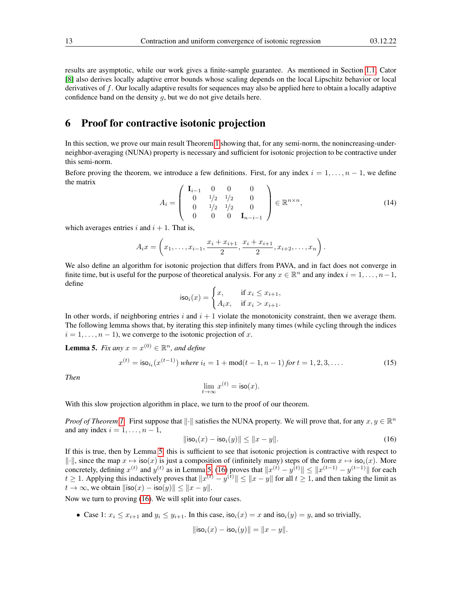results are asymptotic, while our work gives a finite-sample guarantee. As mentioned in Section [1.1,](#page-1-1) Cator [\[8\]](#page-15-9) also derives locally adaptive error bounds whose scaling depends on the local Lipschitz behavior or local derivatives of f. Our locally adaptive results for sequences may also be applied here to obtain a locally adaptive confidence band on the density  $q$ , but we do not give details here.

## <span id="page-12-0"></span>6 Proof for contractive isotonic projection

In this section, we prove our main result Theorem [1](#page-3-0) showing that, for any semi-norm, the nonincreasing-underneighbor-averaging (NUNA) property is necessary and sufficient for isotonic projection to be contractive under this semi-norm.

Before proving the theorem, we introduce a few definitions. First, for any index  $i = 1, \ldots, n - 1$ , we define the matrix

<span id="page-12-4"></span>
$$
A_{i} = \left(\begin{array}{cccc} \mathbf{I}_{i-1} & 0 & 0 & 0 \\ 0 & 1/2 & 1/2 & 0 \\ 0 & 1/2 & 1/2 & 0 \\ 0 & 0 & 0 & \mathbf{I}_{n-i-1} \end{array}\right) \in \mathbb{R}^{n \times n}, \tag{14}
$$

which averages entries i and  $i + 1$ . That is,

$$
A_i x = \left(x_1, \ldots, x_{i-1}, \frac{x_i + x_{i+1}}{2}, \frac{x_i + x_{i+1}}{2}, x_{i+2}, \ldots, x_n\right).
$$

We also define an algorithm for isotonic projection that differs from PAVA, and in fact does not converge in finite time, but is useful for the purpose of theoretical analysis. For any  $x \in \mathbb{R}^n$  and any index  $i = 1, \ldots, n-1$ , define

$$
\mathsf{iso}_i(x) = \begin{cases} x, & \text{if } x_i \le x_{i+1}, \\ A_i x, & \text{if } x_i > x_{i+1}. \end{cases}
$$

In other words, if neighboring entries i and  $i + 1$  violate the monotonicity constraint, then we average them. The following lemma shows that, by iterating this step infinitely many times (while cycling through the indices  $i = 1, \ldots, n - 1$ , we converge to the isotonic projection of x.

<span id="page-12-1"></span>**Lemma 5.** *Fix any*  $x = x^{(0)} \in \mathbb{R}^n$ *, and define* 

<span id="page-12-3"></span>
$$
x^{(t)} = \mathsf{iso}_{i_t}(x^{(t-1)}) \text{ where } i_t = 1 + \mathsf{mod}(t-1, n-1) \text{ for } t = 1, 2, 3, \dots
$$
 (15)

*Then*

$$
\lim_{t \to \infty} x^{(t)} = \mathsf{iso}(x).
$$

With this slow projection algorithm in place, we turn to the proof of our theorem.

*Proof of Theorem [1.](#page-3-0)* First suppose that  $\|\cdot\|$  satisfies the NUNA property. We will prove that, for any  $x, y \in \mathbb{R}^n$ and any index  $i = 1, \ldots, n - 1$ ,

<span id="page-12-2"></span>
$$
\|\mathsf{iso}_i(x) - \mathsf{iso}_i(y)\| \le \|x - y\|.\tag{16}
$$

If this is true, then by Lemma [5,](#page-12-1) this is sufficient to see that isotonic projection is contractive with respect to  $\|\cdot\|$ , since the map  $x \mapsto \text{iso}(x)$  is just a composition of (infinitely many) steps of the form  $x \mapsto \text{iso}_i(x)$ . More concretely, defining  $x^{(t)}$  and  $y^{(t)}$  as in Lemma [5,](#page-12-1) [\(16\)](#page-12-2) proves that  $||x^{(t)} - y^{(t)}|| \le ||x^{(t-1)} - y^{(t-1)}||$  for each  $t \ge 1$ . Applying this inductively proves that  $||x^{(t)} - y^{(t)}|| \le ||x - y||$  for all  $t \ge 1$ , and then taking the limit as  $t \to \infty$ , we obtain  $\|\text{iso}(x) - \text{iso}(y)\| \leq \|x - y\|.$ 

Now we turn to proving [\(16\)](#page-12-2). We will split into four cases.

• Case 1:  $x_i \le x_{i+1}$  and  $y_i \le y_{i+1}$ . In this case,  $\text{iso}_i(x) = x$  and  $\text{iso}_i(y) = y$ , and so trivially,

$$
\| \mathsf{iso}_i(x) - \mathsf{iso}_i(y) \| = \|x - y\|.
$$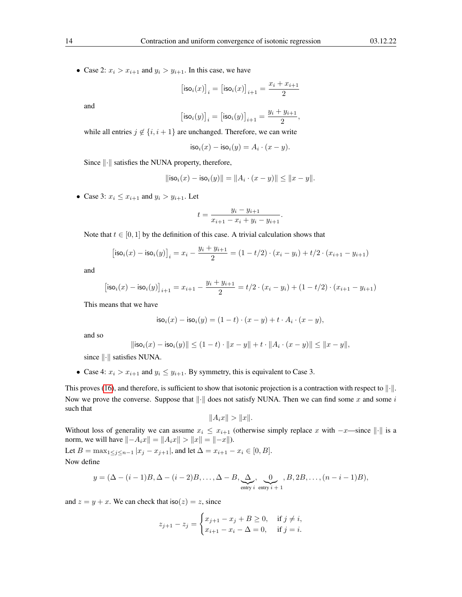• Case 2:  $x_i > x_{i+1}$  and  $y_i > y_{i+1}$ . In this case, we have

$$
\big[\mathsf{iso}_i(x)\big]_i = \big[\mathsf{iso}_i(x)\big]_{i+1} = \frac{x_i+x_{i+1}}{2}
$$

and

$$
\big[\mathsf{iso}_i(y)\big]_i = \big[\mathsf{iso}_i(y)\big]_{i+1} = \frac{y_i + y_{i+1}}{2},
$$

while all entries  $j \notin \{i, i + 1\}$  are unchanged. Therefore, we can write

$$
\mathsf{iso}_i(x) - \mathsf{iso}_i(y) = A_i \cdot (x - y).
$$

Since  $\|\cdot\|$  satisfies the NUNA property, therefore,

$$
\|\mathsf{iso}_i(x) - \mathsf{iso}_i(y)\| = \|A_i \cdot (x - y)\| \le \|x - y\|.
$$

• Case 3:  $x_i \leq x_{i+1}$  and  $y_i > y_{i+1}$ . Let

$$
t = \frac{y_i - y_{i+1}}{x_{i+1} - x_i + y_i - y_{i+1}}.
$$

Note that  $t \in [0, 1]$  by the definition of this case. A trivial calculation shows that

$$
[\mathsf{iso}_i(x) - \mathsf{iso}_i(y)]_i = x_i - \frac{y_i + y_{i+1}}{2} = (1 - t/2) \cdot (x_i - y_i) + t/2 \cdot (x_{i+1} - y_{i+1})
$$

and

$$
\big[\mathsf{iso}_i(x) - \mathsf{iso}_i(y)\big]_{i+1} = x_{i+1} - \frac{y_i + y_{i+1}}{2} = t/2 \cdot (x_i - y_i) + (1 - t/2) \cdot (x_{i+1} - y_{i+1})
$$

This means that we have

$$
\mathsf{iso}_i(x) - \mathsf{iso}_i(y) = (1-t) \cdot (x-y) + t \cdot A_i \cdot (x-y),
$$

and so

$$
\| \mathsf{iso}_i(x) - \mathsf{iso}_i(y) \| \leq (1-t) \cdot \|x-y\| + t \cdot \|A_i \cdot (x-y)\| \leq \|x-y\|,
$$

since  $\left\Vert \cdot\right\Vert$  satisfies NUNA.

• Case 4:  $x_i > x_{i+1}$  and  $y_i \le y_{i+1}$ . By symmetry, this is equivalent to Case 3.

This proves [\(16\)](#page-12-2), and therefore, is sufficient to show that isotonic projection is a contraction with respect to  $\|\cdot\|$ . Now we prove the converse. Suppose that  $\left\Vert \cdot\right\Vert$  does not satisfy NUNA. Then we can find some x and some i such that

$$
||A_ix|| > ||x||.
$$

Without loss of generality we can assume  $x_i \leq x_{i+1}$  (otherwise simply replace x with  $-x$ —since  $\|\cdot\|$  is a norm, we will have  $\|-A_ix\| = \|A_ix\| > \|x\| = |-x\|$ .

Let  $B = \max_{1 \leq j \leq n-1} |x_j - x_{j+1}|$ , and let  $\Delta = x_{i+1} - x_i \in [0, B]$ . Now define

$$
y = (\Delta - (i-1)B, \Delta - (i-2)B, \ldots, \Delta - B, \underbrace{\Delta}_{\text{entry } i} \underbrace{0}_{\text{entry } i+1}, B, 2B, \ldots, (n-i-1)B),
$$

and  $z = y + x$ . We can check that  $\text{iso}(z) = z$ , since

$$
z_{j+1} - z_j = \begin{cases} x_{j+1} - x_j + B \ge 0, & \text{if } j \ne i, \\ x_{i+1} - x_i - \Delta = 0, & \text{if } j = i. \end{cases}
$$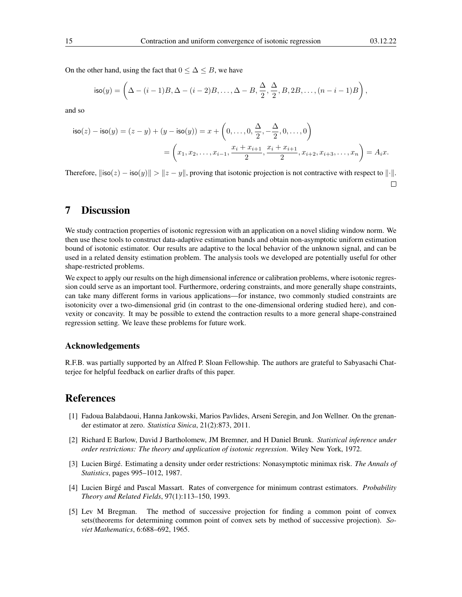On the other hand, using the fact that  $0 \leq \Delta \leq B$ , we have

$$
\mathsf{iso}(y) = \left(\Delta - (i-1)B, \Delta - (i-2)B, \ldots, \Delta - B, \frac{\Delta}{2}, \frac{\Delta}{2}, B, 2B, \ldots, (n-i-1)B\right),\,
$$

and so

$$
\mathsf{iso}(z) - \mathsf{iso}(y) = (z - y) + (y - \mathsf{iso}(y)) = x + \left(0, \dots, 0, \frac{\Delta}{2}, -\frac{\Delta}{2}, 0, \dots, 0\right)
$$

$$
= \left(x_1, x_2, \dots, x_{i-1}, \frac{x_i + x_{i+1}}{2}, \frac{x_i + x_{i+1}}{2}, x_{i+2}, x_{i+3}, \dots, x_n\right) = A_i x.
$$

Therefore,  $\|\text{iso}(z) - \text{iso}(y)\| > \|z - y\|$ , proving that isotonic projection is not contractive with respect to  $\|\cdot\|$ .  $\Box$ 

## 7 Discussion

We study contraction properties of isotonic regression with an application on a novel sliding window norm. We then use these tools to construct data-adaptive estimation bands and obtain non-asymptotic uniform estimation bound of isotonic estimator. Our results are adaptive to the local behavior of the unknown signal, and can be used in a related density estimation problem. The analysis tools we developed are potentially useful for other shape-restricted problems.

We expect to apply our results on the high dimensional inference or calibration problems, where isotonic regression could serve as an important tool. Furthermore, ordering constraints, and more generally shape constraints, can take many different forms in various applications—for instance, two commonly studied constraints are isotonicity over a two-dimensional grid (in contrast to the one-dimensional ordering studied here), and convexity or concavity. It may be possible to extend the contraction results to a more general shape-constrained regression setting. We leave these problems for future work.

#### Acknowledgements

R.F.B. was partially supported by an Alfred P. Sloan Fellowship. The authors are grateful to Sabyasachi Chatterjee for helpful feedback on earlier drafts of this paper.

## References

- <span id="page-14-3"></span>[1] Fadoua Balabdaoui, Hanna Jankowski, Marios Pavlides, Arseni Seregin, and Jon Wellner. On the grenander estimator at zero. *Statistica Sinica*, 21(2):873, 2011.
- <span id="page-14-0"></span>[2] Richard E Barlow, David J Bartholomew, JM Bremner, and H Daniel Brunk. *Statistical inference under order restrictions: The theory and application of isotonic regression*. Wiley New York, 1972.
- <span id="page-14-1"></span>[3] Lucien Birgé. Estimating a density under order restrictions: Nonasymptotic minimax risk. *The Annals of Statistics*, pages 995–1012, 1987.
- <span id="page-14-2"></span>[4] Lucien Birgé and Pascal Massart. Rates of convergence for minimum contrast estimators. *Probability Theory and Related Fields*, 97(1):113–150, 1993.
- <span id="page-14-4"></span>[5] Lev M Bregman. The method of successive projection for finding a common point of convex sets(theorems for determining common point of convex sets by method of successive projection). *Soviet Mathematics*, 6:688–692, 1965.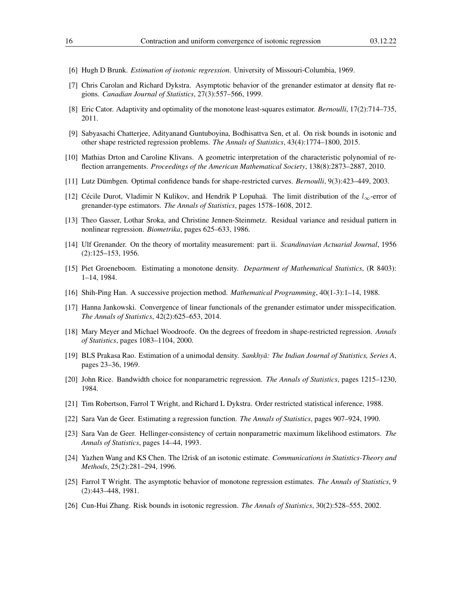- <span id="page-15-7"></span>[6] Hugh D Brunk. *Estimation of isotonic regression*. University of Missouri-Columbia, 1969.
- <span id="page-15-14"></span>[7] Chris Carolan and Richard Dykstra. Asymptotic behavior of the grenander estimator at density flat regions. *Canadian Journal of Statistics*, 27(3):557–566, 1999.
- <span id="page-15-9"></span>[8] Eric Cator. Adaptivity and optimality of the monotone least-squares estimator. *Bernoulli*, 17(2):714–735, 2011.
- <span id="page-15-6"></span>[9] Sabyasachi Chatterjee, Adityanand Guntuboyina, Bodhisattva Sen, et al. On risk bounds in isotonic and other shape restricted regression problems. *The Annals of Statistics*, 43(4):1774–1800, 2015.
- <span id="page-15-19"></span>[10] Mathias Drton and Caroline Klivans. A geometric interpretation of the characteristic polynomial of reflection arrangements. *Proceedings of the American Mathematical Society*, 138(8):2873–2887, 2010.
- <span id="page-15-10"></span>[11] Lutz Dümbgen. Optimal confidence bands for shape-restricted curves. *Bernoulli*, 9(3):423–449, 2003.
- <span id="page-15-16"></span>[12] Cécile Durot, Vladimir N Kulikov, and Hendrik P Lopuhaä. The limit distribution of the  $l_{\infty}$ -error of grenander-type estimators. *The Annals of Statistics*, pages 1578–1608, 2012.
- <span id="page-15-18"></span>[13] Theo Gasser, Lothar Sroka, and Christine Jennen-Steinmetz. Residual variance and residual pattern in nonlinear regression. *Biometrika*, pages 625–633, 1986.
- <span id="page-15-11"></span>[14] Ulf Grenander. On the theory of mortality measurement: part ii. *Scandinavian Actuarial Journal*, 1956 (2):125–153, 1956.
- <span id="page-15-13"></span>[15] Piet Groeneboom. Estimating a monotone density. *Department of Mathematical Statistics*, (R 8403): 1–14, 1984.
- <span id="page-15-20"></span>[16] Shih-Ping Han. A successive projection method. *Mathematical Programming*, 40(1-3):1–14, 1988.
- <span id="page-15-15"></span>[17] Hanna Jankowski. Convergence of linear functionals of the grenander estimator under misspecification. *The Annals of Statistics*, 42(2):625–653, 2014.
- <span id="page-15-3"></span>[18] Mary Meyer and Michael Woodroofe. On the degrees of freedom in shape-restricted regression. *Annals of Statistics*, pages 1083–1104, 2000.
- <span id="page-15-12"></span>[19] BLS Prakasa Rao. Estimation of a unimodal density. *Sankhyā: The Indian Journal of Statistics, Series A*, pages 23–36, 1969.
- <span id="page-15-17"></span>[20] John Rice. Bandwidth choice for nonparametric regression. *The Annals of Statistics*, pages 1215–1230, 1984.
- <span id="page-15-0"></span>[21] Tim Robertson, Farrol T Wright, and Richard L Dykstra. Order restricted statistical inference, 1988.
- <span id="page-15-1"></span>[22] Sara Van de Geer. Estimating a regression function. *The Annals of Statistics*, pages 907–924, 1990.
- <span id="page-15-4"></span>[23] Sara Van de Geer. Hellinger-consistency of certain nonparametric maximum likelihood estimators. *The Annals of Statistics*, pages 14–44, 1993.
- <span id="page-15-2"></span>[24] Yazhen Wang and KS Chen. The l2risk of an isotonic estimate. *Communications in Statistics-Theory and Methods*, 25(2):281–294, 1996.
- <span id="page-15-8"></span>[25] Farrol T Wright. The asymptotic behavior of monotone regression estimates. *The Annals of Statistics*, 9 (2):443–448, 1981.
- <span id="page-15-5"></span>[26] Cun-Hui Zhang. Risk bounds in isotonic regression. *The Annals of Statistics*, 30(2):528–555, 2002.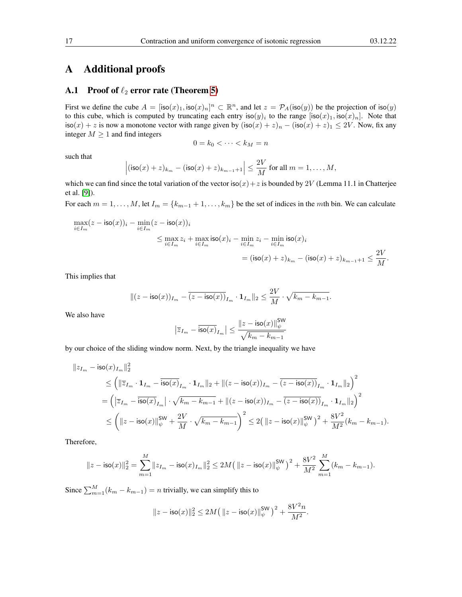## A Additional proofs

#### <span id="page-16-0"></span>A.1 Proof of  $\ell_2$  error rate (Theorem [5\)](#page-8-2)

First we define the cube  $A = [\text{iso}(x)_1, \text{iso}(x)_n]^n \subset \mathbb{R}^n$ , and let  $z = \mathcal{P}_A(\text{iso}(y))$  be the projection of  $\text{iso}(y)$ to this cube, which is computed by truncating each entry  $\text{iso}(y)_i$  to the range  $[\text{iso}(x)_1, \text{iso}(x)_n]$ . Note that  $\textsf{iso}(x) + z$  is now a monotone vector with range given by  $(\textsf{iso}(x) + z)_n - (\textsf{iso}(x) + z)_1 \leq 2V$ . Now, fix any integer  $M \geq 1$  and find integers

$$
0 = k_0 < \cdots < k_M = n
$$

such that

$$
\left|(\mathsf{iso}(x)+z)_{k_m}-(\mathsf{iso}(x)+z)_{k_{m-1}+1}\right|\leq \frac{2V}{M}\text{ for all }m=1,\ldots,M,
$$

which we can find since the total variation of the vector  $iso(x)+z$  is bounded by 2V (Lemma 11.1 in Chatterjee et al. [\[9\]](#page-15-6)).

For each  $m = 1, \ldots, M$ , let  $I_m = \{k_{m-1} + 1, \ldots, k_m\}$  be the set of indices in the mth bin. We can calculate

$$
\begin{aligned} \max_{i\in I_m}(z-\mathsf{iso}(x))_i-\min_{i\in I_m}(z-\mathsf{iso}(x))_i\\ &\leq \max_{i\in I_m}z_i+\max_{i\in I_m}\mathsf{iso}(x)_i-\min_{i\in I_m}z_i-\min_{i\in I_m}\mathsf{iso}(x)_i\\ &=(\mathsf{iso}(x)+z)_{k_m}-(\mathsf{iso}(x)+z)_{k_{m-1}+1}\leq \frac{2V}{M}.\end{aligned}
$$

This implies that

$$
\|(z-\mathsf{iso}(x))_{I_m}-\overline{(z-\mathsf{iso}(x))}_{I_m}\cdot\mathbf{1}_{I_m}\|_2\leq \frac{2V}{M}\cdot\sqrt{k_m-k_{m-1}}.
$$

We also have

$$
\left|\overline{z}_{I_m} - \overline{\mathrm{iso}(x)}_{I_m}\right| \leq \frac{\|z - \mathrm{iso}(x)\|_{\psi}^{\mathrm{SW}}}{\sqrt{k_m - k_{m-1}}}
$$

by our choice of the sliding window norm. Next, by the triangle inequality we have

$$
\begin{aligned} \|z_{I_m} - \mathrm{iso}(x)_{I_m}\|_2^2 \\ & \leq \left( \|\overline{z}_{I_m} \cdot \mathbf{1}_{I_m} - \overline{\mathrm{iso}(x)}_{I_m} \cdot \mathbf{1}_{I_m}\|_2 + \| (z - \mathrm{iso}(x))_{I_m} - \overline{(z - \mathrm{iso}(x))}_{I_m} \cdot \mathbf{1}_{I_m}\|_2 \right)^2 \\ & = \left( \left| \overline{z}_{I_m} - \overline{\mathrm{iso}(x)}_{I_m} \right| \cdot \sqrt{k_m - k_{m-1}} + \| (z - \mathrm{iso}(x))_{I_m} - \overline{(z - \mathrm{iso}(x))}_{I_m} \cdot \mathbf{1}_{I_m}\|_2 \right)^2 \\ & \leq \left( \| z - \mathrm{iso}(x) \|_\psi^{\mathrm{SW}} + \frac{2V}{M} \cdot \sqrt{k_m - k_{m-1}} \right)^2 \leq 2 \big( \left\| z - \mathrm{iso}(x) \right\|_\psi^{\mathrm{SW}} \big)^2 + \frac{8V^2}{M^2} (k_m - k_{m-1}). \end{aligned}
$$

Therefore,

$$
\|z-{\rm iso}(x)\|_2^2=\sum_{m=1}^M\|z_{I_m}-{\rm iso}(x)_{I_m}\|_2^2\leq 2M\big(\left\|z-{\rm iso}(x)\right\|_{\psi}^{\rm SW}\big)^2+\frac{8V^2}{M^2}\sum_{m=1}^M(k_m-k_{m-1}).
$$

Since  $\sum_{m=1}^{M} (k_m - k_{m-1}) = n$  trivially, we can simplify this to

$$
||z - \mathsf{iso}(x)||_2^2 \le 2M (||z - \mathsf{iso}(x)||_{\psi}^{\mathsf{SW}})^2 + \frac{8V^2n}{M^2}.
$$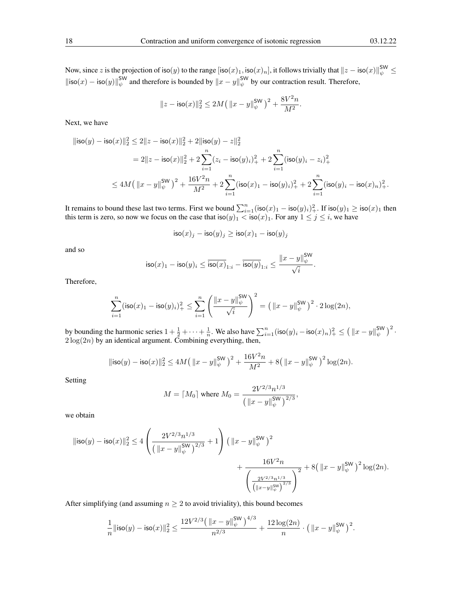Now, since  $z$  is the projection of iso $(y)$  to the range  $[\mathsf{iso}(x)_1, \mathsf{iso}(x)_n],$  it follows trivially that  $\|z-\mathsf{iso}(x)\|_\psi^{\mathsf{SW}} \leq$  $\|\text{iso}(x) - \text{iso}(y)\|_{\psi}^{\text{SW}}$  and therefore is bounded by  $\|x - y\|_{\psi}^{\text{SW}}$  by our contraction result. Therefore,

$$
||z - \mathrm{iso}(x)||_2^2 \le 2M\big(\left\|x - y\right\|_{\psi}^{\mathrm{SW}}\big)^2 + \frac{8V^2n}{M^2}.
$$

Next, we have

$$
\begin{aligned} \|\mathrm{iso}(y)-\mathrm{iso}(x)\|_2^2 &\leq 2\|z-\mathrm{iso}(x)\|_2^2+2\|\mathrm{iso}(y)-z\|_2^2\\&=2\|z-\mathrm{iso}(x)\|_2^2+2\sum_{i=1}^n (z_i-\mathrm{iso}(y)_i)_+^2+2\sum_{i=1}^n (\mathrm{iso}(y)_i-z_i)_+^2\\&\leq 4M\big(\left\|x-y\right\|_{\psi}^{\mathrm{SW}}\big)^2+\frac{16V^2n}{M^2}+2\sum_{i=1}^n (\mathrm{iso}(x)_1-\mathrm{iso}(y)_i)_+^2+2\sum_{i=1}^n (\mathrm{iso}(y)_i-\mathrm{iso}(x)_n)_+^2. \end{aligned}
$$

It remains to bound these last two terms. First we bound  $\sum_{i=1}^{n}(\textsf{iso}(x)_1 - \textsf{iso}(y)_i)_+^2$ . If  $\textsf{iso}(y)_1 \geq \textsf{iso}(x)_1$  then this term is zero, so now we focus on the case that  $\mathsf{iso}(y)_1 < \mathsf{iso}(x)_1$ . For any  $1 \le j \le i$ , we have

$$
\mathsf{iso}(x)_j - \mathsf{iso}(y)_j \ge \mathsf{iso}(x)_1 - \mathsf{iso}(y)_j
$$

and so

$$
\mathsf{iso}(x)_1 - \mathsf{iso}(y)_i \leq \overline{\mathsf{iso}(x)}_{1:i} - \overline{\mathsf{iso}(y)}_{1:i} \leq \frac{\|x-y\|_{\psi}^{\mathsf{SW}}}{\sqrt{i}}
$$

.

Therefore,

$$
\sum_{i=1}^n (\text{iso}(x)_1 - \text{iso}(y)_i)_+^2 \le \sum_{i=1}^n \left( \frac{\|x-y\|_{\psi}^{\text{SW}}}{\sqrt{i}} \right)^2 = \left( \|x-y\|_{\psi}^{\text{SW}} \right)^2 \cdot 2 \log(2n),
$$

by bounding the harmonic series  $1 + \frac{1}{2} + \cdots + \frac{1}{n}$ . We also have  $\sum_{i=1}^{n} (\textsf{iso}(y)_i - \textsf{iso}(x)_n)^2 + \leq (\|x - y\|_{\psi}^{\textsf{SW}})^2$ .  $2 \log(2n)$  by an identical argument. Combining everything, then,

$$
\|\mathsf{iso}(y) - \mathsf{iso}(x)\|_2^2 \le 4M\left(\|x - y\|_{\psi}^{\mathsf{SW}}\right)^2 + \frac{16V^2n}{M^2} + 8\left(\|x - y\|_{\psi}^{\mathsf{SW}}\right)^2\log(2n).
$$

Setting

$$
M = \lceil M_0 \rceil \text{ where } M_0 = \frac{2V^{2/3}n^{1/3}}{\left( \left\| x - y \right\|_{\psi}^{\text{SW}} \right)^{2/3}},
$$

we obtain

$$
\begin{aligned} \|\text{iso}(y)-\text{iso}(x)\|_2^2 &\leq 4\left(\frac{2V^{2/3}n^{1/3}}{\left(\left\|x-y\right\|_{\psi}^{\text{SW}}\right)^{2/3}}+1\right)\left(\left\|x-y\right\|_{\psi}^{\text{SW}}\right)^2 \\ &+\frac{16V^2n}{\left(\frac{2V^{2/3}n^{1/3}}{\left(\left\|x-y\right\|_{\psi}^{\text{SW}}\right)^{2/3}}\right)^2}+8\left(\left\|x-y\right\|_{\psi}^{\text{SW}}\right)^2\log(2n). \end{aligned}
$$

After simplifying (and assuming  $n \geq 2$  to avoid triviality), this bound becomes

$$
\frac{1}{n} \|\mathsf{iso}(y) - \mathsf{iso}(x)\|_2^2 \le \frac{12 V^{2/3} \left( \|x - y\|_{\psi}^{\mathsf{SW}} \right)^{4/3}}{n^{2/3}} + \frac{12 \log(2n)}{n} \cdot \left( \|x - y\|_{\psi}^{\mathsf{SW}} \right)^2.
$$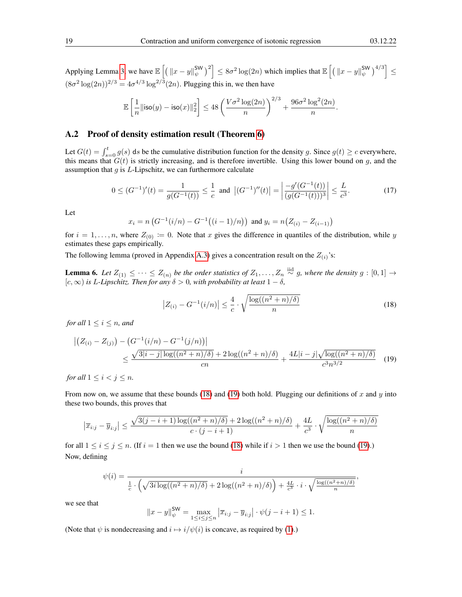Applying Lemma [3,](#page-4-5) we have  $\mathbb{E}\left[\left(\left\|x-y\right\|_{\psi}^{\mathsf{SW}}\right)^2\right] \leq 8\sigma^2\log(2n)$  which implies that  $\mathbb{E}\left[\left(\left\|x-y\right\|_{\psi}^{\mathsf{SW}}\right)^{4/3}\right] \leq$  $(8\sigma^2 \log(2n))^{2/3} = 4\sigma^{4/3} \log^{2/3}(2n)$ . Plugging this in, we then have

$$
\mathbb{E}\left[\frac{1}{n}\|{\rm iso}(y)-{\rm iso}(x)\|_2^2\right] \leq 48\left(\frac{V\sigma^2\log(2n)}{n}\right)^{2/3}+\frac{96\sigma^2\log^2(2n)}{n}.
$$

#### <span id="page-18-0"></span>A.2 Proof of density estimation result (Theorem [6\)](#page-11-2)

Let  $G(t) = \int_{s=0}^{t} g(s) ds$  be the cumulative distribution function for the density g. Since  $g(t) \ge c$  everywhere, this means that  $G(t)$  is strictly increasing, and is therefore invertible. Using this lower bound on g, and the assumption that  $g$  is  $L$ -Lipschitz, we can furthermore calculate

<span id="page-18-3"></span>
$$
0 \le (G^{-1})'(t) = \frac{1}{g(G^{-1}(t))} \le \frac{1}{c} \text{ and } |(G^{-1})''(t)| = \left| \frac{-g'(G^{-1}(t))}{(g(G^{-1}(t)))^3} \right| \le \frac{L}{c^3}.
$$
 (17)

Let

$$
x_i = n \left( G^{-1}(i/n) - G^{-1}((i-1)/n) \right) \text{ and } y_i = n \left( Z_{(i)} - Z_{(i-1)} \right)
$$

for  $i = 1, \ldots, n$ , where  $Z_{(0)} := 0$ . Note that x gives the difference in quantiles of the distribution, while y estimates these gaps empirically.

The following lemma (proved in Appendix [A.3\)](#page-21-0) gives a concentration result on the  $Z_{(i)}$ 's:

<span id="page-18-4"></span>**Lemma 6.** Let  $Z_{(1)} \leq \cdots \leq Z_{(n)}$  be the order statistics of  $Z_1, \ldots, Z_n \stackrel{\text{iid}}{\sim} g$ , where the density  $g : [0,1] \rightarrow$ [c, ∞) *is* L*-Lipschitz. Then for any* δ > 0*, with probability at least* 1 − δ*,*

<span id="page-18-2"></span><span id="page-18-1"></span>
$$
\left| Z_{(i)} - G^{-1}(i/n) \right| \le \frac{4}{c} \cdot \sqrt{\frac{\log((n^2 + n)/\delta)}{n}} \tag{18}
$$

*for all*  $1 \leq i \leq n$ *, and* 

$$
\left| \left( Z_{(i)} - Z_{(j)} \right) - \left( G^{-1}(i/n) - G^{-1}(j/n) \right) \right| \le \frac{\sqrt{3|i-j|\log((n^2+n)/\delta)} + 2\log((n^2+n)/\delta)}{cn} + \frac{4L|i-j|\sqrt{\log((n^2+n)/\delta)}}{c^3 n^{3/2}} \tag{19}
$$

*for all*  $1 \leq i < j \leq n$ *.* 

From now on, we assume that these bounds [\(18\)](#page-18-1) and [\(19\)](#page-18-2) both hold. Plugging our definitions of x and y into these two bounds, this proves that

$$
\left|\overline{x}_{i:j} - \overline{y}_{i:j}\right| \le \frac{\sqrt{3(j-i+1)\log((n^2+n)/\delta)} + 2\log((n^2+n)/\delta)}{c\cdot (j-i+1)} + \frac{4L}{c^3}\cdot\sqrt{\frac{\log((n^2+n)/\delta)}{n}}
$$

for all  $1 \le i \le j \le n$ . (If  $i = 1$  then we use the bound [\(18\)](#page-18-1) while if  $i > 1$  then we use the bound [\(19\)](#page-18-2).) Now, defining

$$
\psi(i) = \frac{i}{\frac{1}{c} \cdot \left(\sqrt{3i\log((n^2+n)/\delta)} + 2\log((n^2+n)/\delta)\right) + \frac{4L}{c^3} \cdot i \cdot \sqrt{\frac{\log((n^2+n)/\delta)}{n}},
$$

we see that

$$
||x - y||_{\psi}^{\text{SW}} = \max_{1 \le i \le j \le n} |\overline{x}_{i:j} - \overline{y}_{i:j}| \cdot \psi(j - i + 1) \le 1.
$$

(Note that  $\psi$  is nondecreasing and  $i \mapsto i/\psi(i)$  is concave, as required by [\(1\)](#page-3-2).)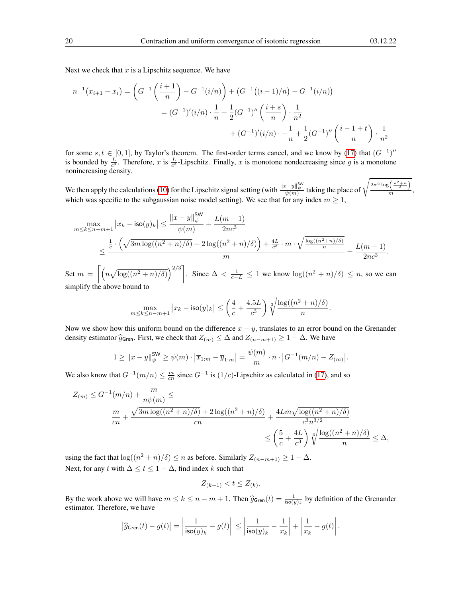Next we check that  $x$  is a Lipschitz sequence. We have

$$
n^{-1}(x_{i+1} - x_i) = \left(G^{-1}\left(\frac{i+1}{n}\right) - G^{-1}(i/n)\right) + \left(G^{-1}((i-1)/n) - G^{-1}(i/n)\right)
$$

$$
= (G^{-1})'(i/n) \cdot \frac{1}{n} + \frac{1}{2}(G^{-1})''\left(\frac{i+s}{n}\right) \cdot \frac{1}{n^2}
$$

$$
+ (G^{-1})'(i/n) \cdot -\frac{1}{n} + \frac{1}{2}(G^{-1})''\left(\frac{i-1+t}{n}\right) \cdot \frac{1}{n^2}
$$

for some  $s, t \in [0, 1]$ , by Taylor's theorem. The first-order terms cancel, and we know by [\(17\)](#page-18-3) that  $(G^{-1})''$ is bounded by  $\frac{L}{c^3}$ . Therefore, x is  $\frac{L}{c^3}$ -Lipschitz. Finally, x is monotone nondecreasing since g is a monotone nonincreasing density.

We then apply the calculations [\(10\)](#page-7-2) for the Lipschitz signal setting (with  $\frac{\|x-y\|_\psi^{5W}}{\psi(m)}$  taking the place of  $\sqrt{\frac{2\sigma^2 \log\left(\frac{n^2+n}{\delta}\right)}{m}}$  $\frac{m}{m}$ , which was specific to the subgaussian noise model setting). We see that for any index  $m \geq 1$ ,

$$
\begin{split} \max_{m \leq k \leq n-m+1} \big|x_k - \mathrm{iso}(y)_k\big| &\leq \frac{\|x-y\|_\psi^{\mathsf{SW}}}{\psi(m)} + \frac{L(m-1)}{2nc^3} \\ &\leq \frac{\frac{1}{c} \cdot \Big(\sqrt{3m \log((n^2+n)/\delta)} + 2 \log((n^2+n)/\delta)\Big) + \frac{4L}{c^3} \cdot m \cdot \sqrt{\frac{\log((n^2+n)/\delta)}{n}}}{m} + \frac{L(m-1)}{2nc^3} . \end{split}
$$

Set  $m = \left[\left(n\sqrt{\log((n^2+n)/\delta)}\right)^{2/3}\right]$ . Since  $\Delta < \frac{1}{c+L} \leq 1$  we know  $\log((n^2+n)/\delta) \leq n$ , so we can simplify the above bound to

$$
\max_{m \le k \le n-m+1} |x_k - \mathsf{iso}(y)_k| \le \left(\frac{4}{c} + \frac{4.5L}{c^3}\right) \sqrt[3]{\frac{\log((n^2+n)/\delta)}{n}}
$$

.

Now we show how this uniform bound on the difference  $x - y$ , translates to an error bound on the Grenander density estimator  $\hat{g}_{\mathsf{Gren}}$ . First, we check that  $Z_{(m)} \leq \Delta$  and  $Z_{(n-m+1)} \geq 1 - \Delta$ . We have

$$
1 \geq ||x - y||_{\psi}^{\mathsf{SW}} \geq \psi(m) \cdot |\overline{x}_{1:m} - \overline{y}_{1:m}| = \frac{\psi(m)}{m} \cdot n \cdot |G^{-1}(m/n) - Z_{(m)}|.
$$

We also know that  $G^{-1}(m/n) \leq \frac{m}{cn}$  since  $G^{-1}$  is  $(1/c)$ -Lipschitz as calculated in [\(17\)](#page-18-3), and so

$$
Z_{(m)} \leq G^{-1}(m/n) + \frac{m}{n\psi(m)} \leq
$$
  

$$
\frac{m}{cn} + \frac{\sqrt{3m\log((n^2+n)/\delta)} + 2\log((n^2+n)/\delta)}{cn} + \frac{4Lm\sqrt{\log((n^2+n)/\delta)}}{c^3n^{3/2}}
$$
  

$$
\leq \left(\frac{5}{c} + \frac{4L}{c^3}\right) \sqrt[3]{\frac{\log((n^2+n)/\delta)}{n}} \leq \Delta,
$$

using the fact that  $\log((n^2 + n)/\delta) \le n$  as before. Similarly  $Z_{(n-m+1)} \ge 1 - \Delta$ . Next, for any t with  $\Delta \leq t \leq 1 - \Delta$ , find index k such that

$$
Z_{(k-1)} < t \le Z_{(k)}.
$$

By the work above we will have  $m \le k \le n - m + 1$ . Then  $\hat{g}_{\text{Gren}}(t) = \frac{1}{\text{iso}(y)_k}$  by definition of the Grenander estimator. Therefore, we have

$$
\left|\widehat{g}_{\mathsf{Gren}}(t)-g(t)\right|=\left|\frac{1}{\mathsf{iso}(y)_k}-g(t)\right|\leq \left|\frac{1}{\mathsf{iso}(y)_k}-\frac{1}{x_k}\right|+\left|\frac{1}{x_k}-g(t)\right|.
$$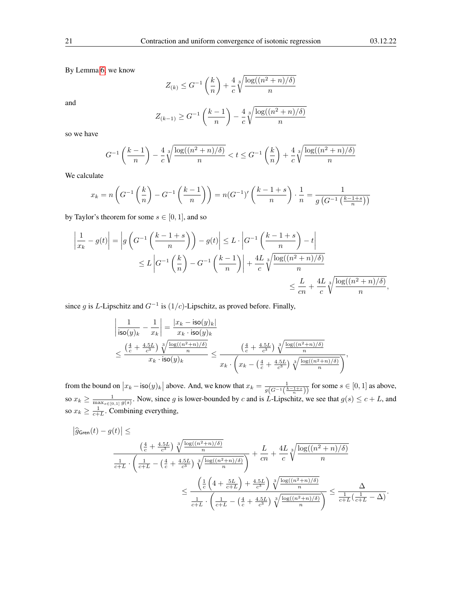By Lemma [6,](#page-18-4) we know

$$
Z_{(k)} \leq G^{-1}\left(\frac{k}{n}\right) + \frac{4}{c}\sqrt[3]{\frac{\log((n^2+n)/\delta)}{n}}
$$

and

$$
Z_{(k-1)} \ge G^{-1} \left( \frac{k-1}{n} \right) - \frac{4}{c} \sqrt[3]{\frac{\log((n^2+n)/\delta)}{n}}
$$

so we have

$$
G^{-1}\left(\frac{k-1}{n}\right) - \frac{4}{c}\sqrt[3]{\frac{\log((n^2+n)/\delta)}{n}} < t \le G^{-1}\left(\frac{k}{n}\right) + \frac{4}{c}\sqrt[3]{\frac{\log((n^2+n)/\delta)}{n}}
$$

We calculate

$$
x_k = n\left(G^{-1}\left(\frac{k}{n}\right) - G^{-1}\left(\frac{k-1}{n}\right)\right) = n(G^{-1})'\left(\frac{k-1+s}{n}\right) \cdot \frac{1}{n} = \frac{1}{g\left(G^{-1}\left(\frac{k-1+s}{n}\right)\right)}
$$

by Taylor's theorem for some  $s \in [0, 1]$ , and so

$$
\left| \frac{1}{x_k} - g(t) \right| = \left| g \left( G^{-1} \left( \frac{k-1+s}{n} \right) \right) - g(t) \right| \le L \cdot \left| G^{-1} \left( \frac{k-1+s}{n} \right) - t \right|
$$
  

$$
\le L \left| G^{-1} \left( \frac{k}{n} \right) - G^{-1} \left( \frac{k-1}{n} \right) \right| + \frac{4L}{c} \sqrt[3]{\frac{\log((n^2+n)/\delta)}{n}}
$$
  

$$
\le \frac{L}{cn} + \frac{4L}{c} \sqrt[3]{\frac{\log((n^2+n)/\delta)}{n}},
$$

since g is L-Lipschitz and  $G^{-1}$  is  $(1/c)$ -Lipschitz, as proved before. Finally,

$$
\begin{aligned} &\left|\frac{1}{\mathsf{iso}(y)_k}-\frac{1}{x_k}\right|=\frac{|x_k-\mathsf{iso}(y)_k|}{x_k\cdot \mathsf{iso}(y)_k} \\ &\leq \frac{\left(\frac{4}{c}+\frac{4.5L}{c^3}\right)\sqrt[3]{\frac{\log((n^2+n)/\delta)}{n}}}{x_k\cdot \mathsf{iso}(y)_k} \leq \frac{\left(\frac{4}{c}+\frac{4.5L}{c^3}\right)\sqrt[3]{\frac{\log((n^2+n)/\delta)}{n}}}{x_k\cdot \left(x_k-\left(\frac{4}{c}+\frac{4.5L}{c^3}\right)\sqrt[3]{\frac{\log((n^2+n)/\delta)}{n}}\right)}, \end{aligned}
$$

from the bound on  $|x_k - \text{iso}(y)_k|$  above. And, we know that  $x_k = \frac{1}{g(G^{-1}(\frac{k-1+s}{n}))}$  for some  $s \in [0,1]$  as above, so  $x_k \ge \frac{1}{\max_{s \in [0,1]} g(s)}$ . Now, since g is lower-bounded by c and is L-Lipschitz, we see that  $g(s) \le c + L$ , and so  $x_k \geq \frac{1}{c+L}$ . Combining everything,

$$
\left| \hat{g}_{\text{Gren}}(t) - g(t) \right| \le
$$
\n
$$
\frac{\left( \frac{4}{c} + \frac{4.5L}{c^3} \right) \sqrt[3]{\frac{\log((n^2+n)/\delta)}{n}}}{\frac{1}{c+L} \cdot \left( \frac{1}{c+L} - \left( \frac{4}{c} + \frac{4.5L}{c^3} \right) \sqrt[3]{\frac{\log((n^2+n)/\delta)}{n}} \right)} + \frac{L}{cn} + \frac{4L}{c} \sqrt[3]{\frac{\log((n^2+n)/\delta)}{n}}
$$
\n
$$
\leq \frac{\left( \frac{1}{c} \left( 4 + \frac{5L}{c+L} \right) + \frac{4.5L}{c^3} \right) \sqrt[3]{\frac{\log((n^2+n)/\delta)}{n}}}{\frac{1}{c+L} \cdot \left( \frac{1}{c+L} - \left( \frac{4}{c} + \frac{4.5L}{c^3} \right) \sqrt[3]{\frac{\log((n^2+n)/\delta)}{n}} \right)} \leq \frac{\Delta}{\frac{1}{c+L} \left( \frac{1}{c+L} - \Delta \right)}.
$$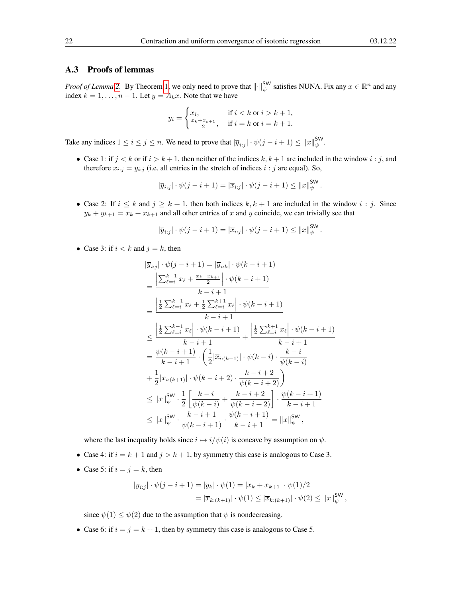#### <span id="page-21-0"></span>A.3 Proofs of lemmas

*Proof of Lemma* [2.](#page-3-3) By Theorem [1,](#page-3-0) we only need to prove that  $\|\cdot\|_{\psi}^{\text{SW}}$  satisfies NUNA. Fix any  $x \in \mathbb{R}^n$  and any index  $k = 1, \ldots, n - 1$ . Let  $y = A_k x$ . Note that we have

$$
y_i = \begin{cases} x_i, & \text{if } i < k \text{ or } i > k+1, \\ \frac{x_k + x_{k+1}}{2}, & \text{if } i = k \text{ or } i = k+1. \end{cases}
$$

Take any indices  $1 \le i \le j \le n$ . We need to prove that  $|\overline{y}_{i:j}| \cdot \psi(j-i+1) \le ||x||_{\psi}^{\text{SW}}$ .

• Case 1: if  $j < k$  or if  $i > k + 1$ , then neither of the indices  $k, k + 1$  are included in the window  $i : j$ , and therefore  $x_{i:j} = y_{i:j}$  (i.e. all entries in the stretch of indices  $i : j$  are equal). So,

$$
|\overline{y}_{i:j}| \cdot \psi(j-i+1) = |\overline{x}_{i:j}| \cdot \psi(j-i+1) \le ||x||_{\psi}^{\mathsf{SW}}.
$$

• Case 2: If  $i \leq k$  and  $j \geq k+1$ , then both indices  $k, k+1$  are included in the window  $i : j$ . Since  $y_k + y_{k+1} = x_k + x_{k+1}$  and all other entries of x and y coincide, we can trivially see that

$$
|\overline{y}_{i:j}| \cdot \psi(j-i+1) = |\overline{x}_{i:j}| \cdot \psi(j-i+1) \leq ||x||_{\psi}^{\mathsf{SW}}.
$$

• Case 3: if  $i < k$  and  $j = k$ , then

$$
\begin{split}\n|\overline{y}_{i:j}| \cdot \psi(j-i+1) &= |\overline{y}_{i:k}| \cdot \psi(k-i+1) \\
&= \frac{\left|\sum_{\ell=i}^{k-1} x_{\ell} + \frac{x_{k}+x_{k+1}}{2}\right| \cdot \psi(k-i+1)}{k-i+1} \\
&= \frac{\left|\frac{1}{2}\sum_{\ell=i}^{k-1} x_{\ell} + \frac{1}{2}\sum_{\ell=i}^{k+1} x_{\ell}\right| \cdot \psi(k-i+1)}{k-i+1} \\
&\leq \frac{\left|\frac{1}{2}\sum_{\ell=i}^{k-1} x_{\ell}\right| \cdot \psi(k-i+1)}{k-i+1} + \frac{\left|\frac{1}{2}\sum_{\ell=i}^{k+1} x_{\ell}\right| \cdot \psi(k-i+1)}{k-i+1} \\
&= \frac{\psi(k-i+1)}{k-i+1} \cdot \left(\frac{1}{2}|\overline{x}_{i:(k-1)}|\cdot \psi(k-i) \cdot \frac{k-i}{\psi(k-i)}\right) \\
&\quad + \frac{1}{2}|\overline{x}_{i:(k+1)}|\cdot \psi(k-i+2) \cdot \frac{k-i+2}{\psi(k-i+2)}\right) \\
&\leq ||x||_{\psi}^{\mathsf{SW}} \cdot \frac{1}{2} \left[\frac{k-i}{\psi(k-i)} + \frac{k-i+2}{\psi(k-i+2)}\right] \cdot \frac{\psi(k-i+1)}{k-i+1} \\
&\leq ||x||_{\psi}^{\mathsf{SW}} \cdot \frac{k-i+1}{\psi(k-i+1)} \cdot \frac{\psi(k-i+1)}{k-i+1} = ||x||_{\psi}^{\mathsf{SW}}\n\end{split}
$$

where the last inequality holds since  $i \mapsto i/\psi(i)$  is concave by assumption on  $\psi$ .

- Case 4: if  $i = k + 1$  and  $j > k + 1$ , by symmetry this case is analogous to Case 3.
- Case 5: if  $i = j = k$ , then

$$
|\overline{y}_{i:j}| \cdot \psi(j-i+1) = |y_k| \cdot \psi(1) = |x_k + x_{k+1}| \cdot \psi(1)/2
$$
  
=  $|\overline{x}_{k:(k+1)}| \cdot \psi(1) \leq |\overline{x}_{k:(k+1)}| \cdot \psi(2) \leq ||x||_{\psi}^{\text{SW}},$ 

since  $\psi(1) \leq \psi(2)$  due to the assumption that  $\psi$  is nondecreasing.

• Case 6: if  $i = j = k + 1$ , then by symmetry this case is analogous to Case 5.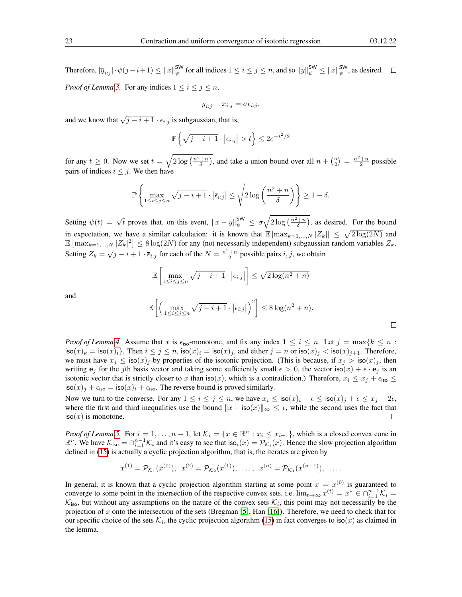Therefore,  $|\overline{y}_{i:j}| \cdot \psi(j-i+1) \leq ||x||_{\psi}^{\mathsf{SW}}$  for all indices  $1 \leq i \leq j \leq n$ , and so  $||y||_{\psi}^{\mathsf{SW}} \leq ||x||_{\psi}^{\mathsf{SW}}$ , as desired. *Proof of Lemma* [3.](#page-4-5) For any indices  $1 \le i \le j \le n$ ,

$$
\overline{y}_{i:j} - \overline{x}_{i:j} = \sigma \overline{\epsilon}_{i:j},
$$

and we know that  $\sqrt{j-i+1} \cdot \overline{\epsilon}_{i:j}$  is subgaussian, that is,

$$
\mathbb{P}\left\{\sqrt{j-i+1}\cdot\left|\overline{\epsilon}_{i:j}\right|>t\right\}\leq 2e^{-t^2/2}
$$

for any  $t \ge 0$ . Now we set  $t = \sqrt{2 \log\left(\frac{n^2+n}{\delta}\right)}$ , and take a union bound over all  $n + \binom{n}{2} = \frac{n^2+n}{2}$  possible pairs of indices  $i \leq j$ . We then have

$$
\mathbb{P}\left\{\max_{1\leq i\leq j\leq n}\sqrt{j-i+1}\cdot\left|\overline{\epsilon}_{i:j}\right|\leq\sqrt{2\log\left(\frac{n^2+n}{\delta}\right)}\right\}\geq1-\delta.
$$

Setting  $\psi(t) = \sqrt{t}$  proves that, on this event,  $||x - y||_{\psi}^{\text{SW}} \le \sigma \sqrt{2 \log\left(\frac{n^2 + n}{\delta}\right)}$ , as desired. For the bound in expectation, we have a similar calculation: it is known that  $\mathbb{E} [\max_{k=1,...,N} |Z_k|] \leq \sqrt{2 \log(2N)}$  and  $\mathbb{E} \left[ \max_{k=1,\dots,N} |Z_k|^2 \right] \leq 8 \log(2N)$  for any (not necessarily independent) subgaussian random variables  $Z_k$ . Setting  $Z_k = \sqrt{j - i + 1} \cdot \overline{\epsilon}_{i:j}$  for each of the  $N = \frac{n^2 + n}{2}$  possible pairs  $i, j$ , we obtain

$$
\mathbb{E}\left[\max_{1\leq i\leq j\leq n}\sqrt{j-i+1}\cdot\left|\overline{\epsilon}_{i:j}\right|\right]\leq\sqrt{2\log(n^2+n)}
$$

and

$$
\mathbb{E}\left[\left(\max_{1\leq i\leq j\leq n}\sqrt{j-i+1}\cdot\left|\overline{\epsilon}_{i:j}\right|\right)^{2}\right]\leq 8\log(n^{2}+n).
$$

*Proof of Lemma [4.](#page-5-2)* Assume that x is  $\epsilon_{iso}$ -monotone, and fix any index  $1 \le i \le n$ . Let  $j = \max\{k \le n :$  $\text{iso}(x)_k = \text{iso}(x)_i$ . Then  $i \le j \le n$ ,  $\text{iso}(x)_i = \text{iso}(x)_j$ , and either  $j = n$  or  $\text{iso}(x)_j < \text{iso}(x)_{j+1}$ . Therefore, we must have  $x_j \leq \text{iso}(x)_j$  by properties of the isotonic projection. (This is because, if  $x_j > \text{iso}(x)_j$ , then writing  $e_i$  for the jth basis vector and taking some sufficiently small  $\epsilon > 0$ , the vector iso $(x) + \epsilon \cdot e_j$  is an isotonic vector that is strictly closer to x than  $\text{iso}(x)$ , which is a contradiction.) Therefore,  $x_i \leq x_j + \epsilon_{\text{iso}} \leq$  $\cos(x)_i + \epsilon_{\text{iso}} = \sin(x)_i + \epsilon_{\text{iso}}$ . The reverse bound is proved similarly.

Now we turn to the converse. For any  $1 \le i \le j \le n$ , we have  $x_i \le \text{iso}(x)_i + \epsilon \le \text{iso}(x)_j + \epsilon \le x_j + 2\epsilon$ , where the first and third inequalities use the bound  $||x - \text{iso}(x)||_{\infty} \leq \epsilon$ , while the second uses the fact that  $iso(x)$  is monotone.  $\Box$ 

*Proof of Lemma* [5.](#page-12-1) For  $i = 1, ..., n - 1$ , let  $\mathcal{K}_i = \{x \in \mathbb{R}^n : x_i \leq x_{i+1}\}$ , which is a closed convex cone in  $\mathbb{R}^n$ . We have  $\mathcal{K}_{\text{iso}} = \bigcap_{i=1}^{n-1} \mathcal{K}_i$  and it's easy to see that  $\text{iso}_i(x) = \mathcal{P}_{\mathcal{K}_i}(x)$ . Hence the slow projection algorithm defined in [\(15\)](#page-12-3) is actually a cyclic projection algorithm, that is, the iterates are given by

$$
x^{(1)} = \mathcal{P}_{\mathcal{K}_1}(x^{(0)}), \quad x^{(2)} = \mathcal{P}_{\mathcal{K}_2}(x^{(1)}), \quad \dots, \quad x^{(n)} = \mathcal{P}_{\mathcal{K}_1}(x^{(n-1)}), \quad \dots
$$

In general, it is known that a cyclic projection algorithm starting at some point  $x = x^{(0)}$  is guaranteed to converge to some point in the intersection of the respective convex sets, i.e.  $\lim_{t\to\infty} x^{(t)} = x^* \in \bigcap_{i=1}^{n-1} \mathcal{K}_i$  $\mathcal{K}_{\text{iso}}$ , but without any assumptions on the nature of the convex sets  $\mathcal{K}_i$ , this point may not necessarily be the projection of x onto the intersection of the sets (Bregman [\[5\]](#page-14-4), Han [\[16\]](#page-15-20)). Therefore, we need to check that for our specific choice of the sets  $\mathcal{K}_i$ , the cyclic projection algorithm [\(15\)](#page-12-3) in fact converges to iso(x) as claimed in the lemma.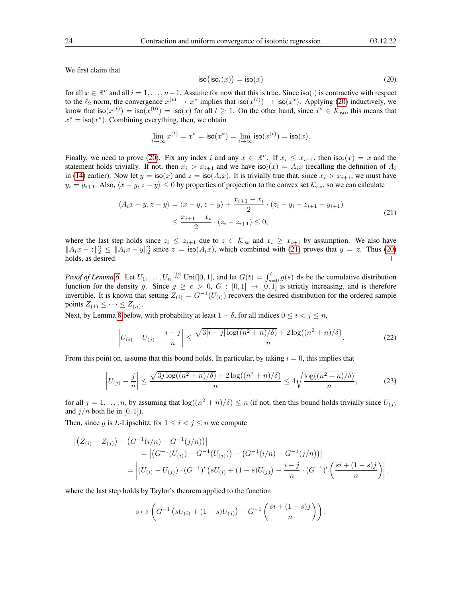We first claim that

<span id="page-23-0"></span>
$$
\text{iso}(\text{iso}_i(x)) = \text{iso}(x) \tag{20}
$$

for all  $x \in \mathbb{R}^n$  and all  $i = 1, \ldots, n-1$ . Assume for now that this is true. Since iso( $\cdot$ ) is contractive with respect to the  $\ell_2$  norm, the convergence  $x^{(t)} \to x^*$  implies that iso $(x^{(t)}) \to$  iso $(x^*)$ . Applying [\(20\)](#page-23-0) inductively, we know that  $\textsf{iso}(x^{(t)}) = \textsf{iso}(x^{(0)}) = \textsf{iso}(x)$  for all  $t \geq 1$ . On the other hand, since  $x^* \in \mathcal{K}_{\textsf{iso}}$ , this means that  $x^* = \textsf{iso}(x^*)$ . Combining everything, then, we obtain

$$
\lim_{t \to \infty} x^{(t)} = x^* = \mathsf{iso}(x^*) = \lim_{t \to \infty} \mathsf{iso}(x^{(t)}) = \mathsf{iso}(x).
$$

Finally, we need to prove [\(20\)](#page-23-0). Fix any index i and any  $x \in \mathbb{R}^n$ . If  $x_i \leq x_{i+1}$ , then  $\text{iso}_i(x) = x$  and the statement holds trivially. If not, then  $x_i > x_{i+1}$  and we have  $\text{iso}_i(x) = A_i x$  (recalling the definition of  $A_i$ in [\(14\)](#page-12-4) earlier). Now let  $y = \text{iso}(x)$  and  $z = \text{iso}(A_i x)$ . It is trivially true that, since  $x_i > x_{i+1}$ , we must have  $y_i = y_{i+1}$ . Also,  $\langle x - y, z - y \rangle \le 0$  by properties of projection to the convex set  $\mathcal{K}_{\text{iso}}$ , so we can calculate

$$
\langle A_i x - y, z - y \rangle = \langle x - y, z - y \rangle + \frac{x_{i+1} - x_i}{2} \cdot (z_i - y_i - z_{i+1} + y_{i+1})
$$
  
 
$$
\leq \frac{x_{i+1} - x_i}{2} \cdot (z_i - z_{i+1}) \leq 0,
$$
 (21)

<span id="page-23-1"></span>where the last step holds since  $z_i \le z_{i+1}$  due to  $z \in \mathcal{K}_{\text{iso}}$  and  $x_i \ge x_{i+1}$  by assumption. We also have  $||A_i x - z||_2^2 \le ||A_i x - y||_2^2$  since  $z = \text{iso}(A_i x)$ , which combined with [\(21\)](#page-23-1) proves that  $y = z$ . Thus [\(20\)](#page-23-0) holds, as desired.  $\Box$ 

*Proof of Lemma* [6.](#page-18-4) Let  $U_1, \ldots, U_n \stackrel{\text{iid}}{\sim} \text{Unif}[0,1]$ , and let  $G(t) = \int_{s=0}^t g(s)$  ds be the cumulative distribution function for the density g. Since  $g \ge c > 0$ ,  $G : [0,1] \to [0,1]$  is strictly increasing, and is therefore invertible. It is known that setting  $Z_{(i)} = G^{-1}(U_{(i)})$  recovers the desired distribution for the ordered sample points  $Z_{(1)} \leq \cdots \leq Z_{(n)}$ .

Next, by Lemma [8](#page-25-0) below, with probability at least  $1 - \delta$ , for all indices  $0 \le i \le j \le n$ ,

<span id="page-23-2"></span>
$$
\left| U_{(i)} - U_{(j)} - \frac{i - j}{n} \right| \le \frac{\sqrt{3|i - j| \log((n^2 + n)/\delta)} + 2 \log((n^2 + n)/\delta)}{n}.
$$
 (22)

From this point on, assume that this bound holds. In particular, by taking  $i = 0$ , this implies that

<span id="page-23-3"></span>
$$
\left|U_{(j)} - \frac{j}{n}\right| \le \frac{\sqrt{3j\log((n^2+n)/\delta)} + 2\log((n^2+n)/\delta)}{n} \le 4\sqrt{\frac{\log((n^2+n)/\delta)}{n}},\tag{23}
$$

for all  $j = 1, \ldots, n$ , by assuming that  $\log((n^2 + n)/\delta) \le n$  (if not, then this bound holds trivially since  $U_{(j)}$ ) and  $j/n$  both lie in [0, 1]).

Then, since g is L-Lipschitz, for  $1 \le i < j \le n$  we compute

$$
\begin{aligned} \left| \left( Z_{(i)} - Z_{(j)} \right) - \left( G^{-1}(i/n) - G^{-1}(j/n) \right) \right| \\ &= \left| \left( G^{-1}(U_{(i)}) - G^{-1}(U_{(j)}) \right) - \left( G^{-1}(i/n) - G^{-1}(j/n) \right) \right| \\ &= \left| \left( U_{(i)} - U_{(j)} \right) \cdot \left( G^{-1} \right)' \left( sU_{(i)} + (1-s)U_{(j)} \right) - \frac{i-j}{n} \cdot \left( G^{-1} \right)' \left( \frac{s i + (1-s)j}{n} \right) \right|, \end{aligned}
$$

where the last step holds by Taylor's theorem applied to the function

$$
s \mapsto \left( G^{-1} \left( s U_{(i)} + (1 - s) U_{(j)} \right) - G^{-1} \left( \frac{s i + (1 - s) j}{n} \right) \right).
$$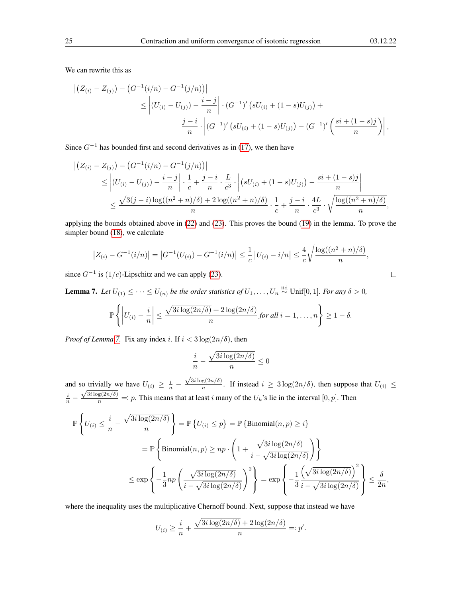We can rewrite this as

$$
\left| \left( Z_{(i)} - Z_{(j)} \right) - \left( G^{-1}(i/n) - G^{-1}(j/n) \right) \right| \right|
$$
  
\n
$$
\leq \left| \left( U_{(i)} - U_{(j)} \right) - \frac{i - j}{n} \right| \cdot \left( G^{-1} \right)' \left( s U_{(i)} + (1 - s) U_{(j)} \right) +
$$
  
\n
$$
\frac{j - i}{n} \cdot \left| \left( G^{-1} \right)' \left( s U_{(i)} + (1 - s) U_{(j)} \right) - \left( G^{-1} \right)' \left( \frac{s i + (1 - s) j}{n} \right) \right|,
$$

Since  $G^{-1}$  has bounded first and second derivatives as in [\(17\)](#page-18-3), we then have

$$
\begin{split} \left| \left( Z_{(i)} - Z_{(j)} \right) - \left( G^{-1}(i/n) - G^{-1}(j/n) \right) \right| \\ &\leq \left| \left( U_{(i)} - U_{(j)} \right) - \frac{i - j}{n} \right| \cdot \frac{1}{c} + \frac{j - i}{n} \cdot \frac{L}{c^3} \cdot \left| \left( sU_{(i)} + (1 - s)U_{(j)} \right) - \frac{si + (1 - s)j}{n} \right| \\ &\leq \frac{\sqrt{3(j - i) \log((n^2 + n)/\delta)} + 2 \log((n^2 + n)/\delta)}{n} \cdot \frac{1}{c} + \frac{j - i}{n} \cdot \frac{4L}{c^3} \cdot \sqrt{\frac{\log((n^2 + n)/\delta)}{n}}, \end{split}
$$

applying the bounds obtained above in [\(22\)](#page-23-2) and [\(23\)](#page-23-3). This proves the bound [\(19\)](#page-18-2) in the lemma. To prove the simpler bound [\(18\)](#page-18-1), we calculate

$$
|Z_{(i)} - G^{-1}(i/n)| = |G^{-1}(U_{(i)}) - G^{-1}(i/n)| \le \frac{1}{c} |U_{(i)} - i/n| \le \frac{4}{c} \sqrt{\frac{\log((n^2 + n)/\delta)}{n}},
$$

since  $G^{-1}$  is  $(1/c)$ -Lipschitz and we can apply [\(23\)](#page-23-3).

<span id="page-24-0"></span>**Lemma 7.** Let  $U_{(1)}$  ≤ · · ⋅ ≤  $U_{(n)}$  be the order statistics of  $U_1, \ldots, U_n \stackrel{\text{iid}}{\sim}$  Unif[0, 1]. For any  $\delta > 0$ ,

$$
\mathbb{P}\left\{\left|U_{(i)}-\frac{i}{n}\right|\leq \frac{\sqrt{3i\log(2n/\delta)}+2\log(2n/\delta)}{n}\text{ for all }i=1,\ldots,n\right\}\geq 1-\delta.
$$

*Proof of Lemma* [7.](#page-24-0) Fix any index i. If  $i < 3 \log(2n/\delta)$ , then

$$
\frac{i}{n} - \frac{\sqrt{3i\log(2n/\delta)}}{n} \le 0
$$

and so trivially we have  $U_{(i)} \geq \frac{i}{n}$  –  $\sqrt{3i\log(2n/\delta)}$  $\frac{\log(2n/\delta)}{n}$ . If instead  $i \geq 3 \log(2n/\delta)$ , then suppose that  $U_{(i)} \leq$  $\frac{i}{n}$  –  $\frac{\sqrt{3i \log(2n/\delta)}}{n}$  =: p. This means that at least i many of the  $U_k$ 's lie in the interval  $[0, p]$ . Then

$$
\mathbb{P}\left\{U_{(i)} \leq \frac{i}{n} - \frac{\sqrt{3i\log(2n/\delta)}}{n}\right\} = \mathbb{P}\left\{U_{(i)} \leq p\right\} = \mathbb{P}\left\{\text{Binomial}(n, p) \geq i\right\}
$$

$$
= \mathbb{P}\left\{\text{Binomial}(n, p) \geq np \cdot \left(1 + \frac{\sqrt{3i\log(2n/\delta)}}{i - \sqrt{3i\log(2n/\delta)}}\right)\right\}
$$

$$
\leq \exp\left\{-\frac{1}{3}np\left(\frac{\sqrt{3i\log(2n/\delta)}}{i - \sqrt{3i\log(2n/\delta)}}\right)^2\right\} = \exp\left\{-\frac{1}{3}\frac{\left(\sqrt{3i\log(2n/\delta)}\right)^2}{i - \sqrt{3i\log(2n/\delta)}}\right\} \leq \frac{\delta}{2n},
$$

where the inequality uses the multiplicative Chernoff bound. Next, suppose that instead we have

$$
U_{(i)} \ge \frac{i}{n} + \frac{\sqrt{3i \log(2n/\delta)} + 2 \log(2n/\delta)}{n} =: p'.
$$

$$
\qquad \qquad \Box
$$